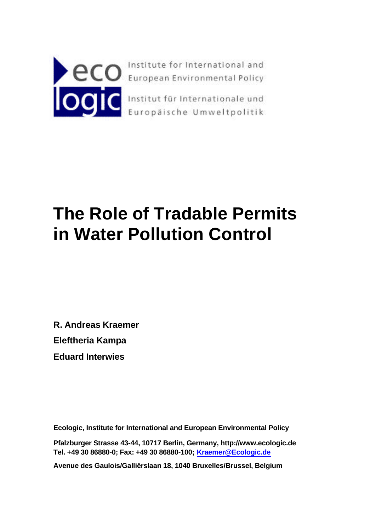

# **The Role of Tradable Permits in Water Pollution Control**

**R. Andreas Kraemer Eleftheria Kampa Eduard Interwies**

**Ecologic, Institute for International and European Environmental Policy**

**Pfalzburger Strasse 43-44, 10717 Berlin, Germany, http://www.ecologic.de Tel. +49 30 86880-0; Fax: +49 30 86880-100; Kraemer@Ecologic.de**

**Avenue des Gaulois/Galliërslaan 18, 1040 Bruxelles/Brussel, Belgium**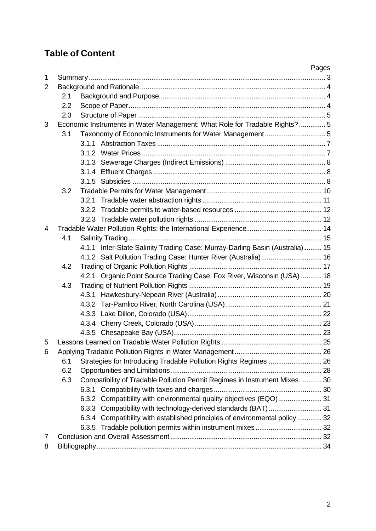## **Table of Content**

|                |                                                                             |                                                                           |                                                                               | Pages |  |
|----------------|-----------------------------------------------------------------------------|---------------------------------------------------------------------------|-------------------------------------------------------------------------------|-------|--|
| $\mathbf{1}$   |                                                                             |                                                                           |                                                                               |       |  |
| $\overline{2}$ |                                                                             |                                                                           |                                                                               |       |  |
|                |                                                                             | 2.1                                                                       |                                                                               |       |  |
|                |                                                                             | 2.2                                                                       |                                                                               |       |  |
|                | 2.3                                                                         |                                                                           |                                                                               |       |  |
| 3              | Economic Instruments in Water Management: What Role for Tradable Rights?  5 |                                                                           |                                                                               |       |  |
|                | 3.1                                                                         |                                                                           |                                                                               |       |  |
|                |                                                                             |                                                                           |                                                                               |       |  |
|                |                                                                             |                                                                           |                                                                               |       |  |
|                |                                                                             |                                                                           |                                                                               |       |  |
|                |                                                                             |                                                                           |                                                                               |       |  |
|                |                                                                             |                                                                           |                                                                               |       |  |
|                | 3.2                                                                         |                                                                           |                                                                               |       |  |
|                |                                                                             |                                                                           |                                                                               |       |  |
|                |                                                                             |                                                                           |                                                                               |       |  |
|                |                                                                             |                                                                           |                                                                               |       |  |
| 4              |                                                                             |                                                                           |                                                                               |       |  |
|                | 4.1                                                                         |                                                                           |                                                                               |       |  |
|                |                                                                             |                                                                           | 4.1.1 Inter-State Salinity Trading Case: Murray-Darling Basin (Australia)  15 |       |  |
|                |                                                                             |                                                                           | 4.1.2 Salt Pollution Trading Case: Hunter River (Australia) 16                |       |  |
|                | 4.2                                                                         |                                                                           |                                                                               |       |  |
|                |                                                                             |                                                                           | 4.2.1 Organic Point Source Trading Case: Fox River, Wisconsin (USA)  18       |       |  |
|                | 4.3                                                                         |                                                                           |                                                                               |       |  |
|                |                                                                             |                                                                           |                                                                               |       |  |
|                |                                                                             |                                                                           |                                                                               |       |  |
|                |                                                                             |                                                                           |                                                                               |       |  |
|                |                                                                             |                                                                           |                                                                               |       |  |
|                |                                                                             |                                                                           |                                                                               |       |  |
| 5              |                                                                             |                                                                           |                                                                               |       |  |
| 6              |                                                                             |                                                                           |                                                                               |       |  |
|                | 6.1                                                                         | Strategies for Introducing Tradable Pollution Rights Regimes  26          |                                                                               |       |  |
|                | 6.2                                                                         |                                                                           |                                                                               |       |  |
|                | 6.3                                                                         | Compatibility of Tradable Pollution Permit Regimes in Instrument Mixes 30 |                                                                               |       |  |
|                |                                                                             |                                                                           |                                                                               |       |  |
|                |                                                                             |                                                                           | 6.3.2 Compatibility with environmental quality objectives (EQO) 31            |       |  |
|                |                                                                             |                                                                           |                                                                               |       |  |
|                |                                                                             |                                                                           | 6.3.4 Compatibility with established principles of environmental policy  32   |       |  |
|                |                                                                             |                                                                           |                                                                               |       |  |
| 7              |                                                                             |                                                                           |                                                                               |       |  |
| 8              |                                                                             |                                                                           |                                                                               |       |  |
|                |                                                                             |                                                                           |                                                                               |       |  |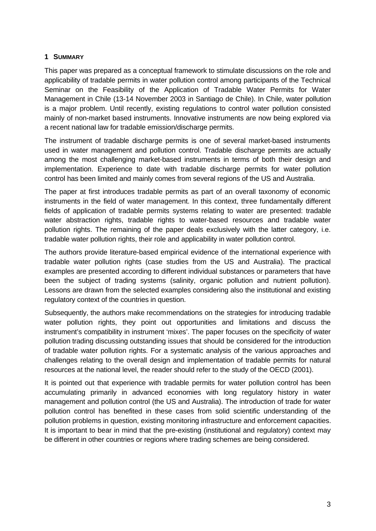#### **1 SUMMARY**

This paper was prepared as a conceptual framework to stimulate discussions on the role and applicability of tradable permits in water pollution control among participants of the Technical Seminar on the Feasibility of the Application of Tradable Water Permits for Water Management in Chile (13-14 November 2003 in Santiago de Chile). In Chile, water pollution is a major problem. Until recently, existing regulations to control water pollution consisted mainly of non-market based instruments. Innovative instruments are now being explored via a recent national law for tradable emission/discharge permits.

The instrument of tradable discharge permits is one of several market-based instruments used in water management and pollution control. Tradable discharge permits are actually among the most challenging market-based instruments in terms of both their design and implementation. Experience to date with tradable discharge permits for water pollution control has been limited and mainly comes from several regions of the US and Australia.

The paper at first introduces tradable permits as part of an overall taxonomy of economic instruments in the field of water management. In this context, three fundamentally different fields of application of tradable permits systems relating to water are presented: tradable water abstraction rights, tradable rights to water-based resources and tradable water pollution rights. The remaining of the paper deals exclusively with the latter category, i.e. tradable water pollution rights, their role and applicability in water pollution control.

The authors provide literature-based empirical evidence of the international experience with tradable water pollution rights (case studies from the US and Australia). The practical examples are presented according to different individual substances or parameters that have been the subject of trading systems (salinity, organic pollution and nutrient pollution). Lessons are drawn from the selected examples considering also the institutional and existing regulatory context of the countries in question.

Subsequently, the authors make recommendations on the strategies for introducing tradable water pollution rights, they point out opportunities and limitations and discuss the instrument's compatibility in instrument 'mixes'. The paper focuses on the specificity of water pollution trading discussing outstanding issues that should be considered for the introduction of tradable water pollution rights. For a systematic analysis of the various approaches and challenges relating to the overall design and implementation of tradable permits for natural resources at the national level, the reader should refer to the study of the OECD (2001).

It is pointed out that experience with tradable permits for water pollution control has been accumulating primarily in advanced economies with long regulatory history in water management and pollution control (the US and Australia). The introduction of trade for water pollution control has benefited in these cases from solid scientific understanding of the pollution problems in question, existing monitoring infrastructure and enforcement capacities. It is important to bear in mind that the pre-existing (institutional and regulatory) context may be different in other countries or regions where trading schemes are being considered.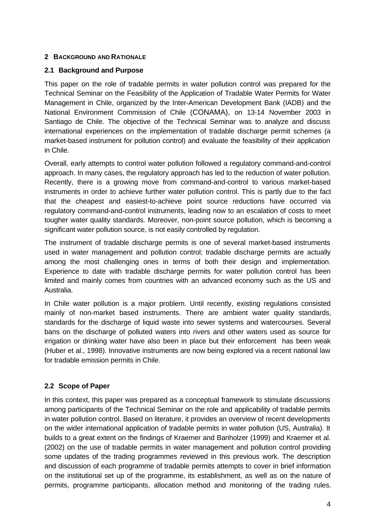## **2 BACKGROUND AND RATIONALE**

## **2.1 Background and Purpose**

This paper on the role of tradable permits in water pollution control was prepared for the Technical Seminar on the Feasibility of the Application of Tradable Water Permits for Water Management in Chile, organized by the Inter-American Development Bank (IADB) and the National Environment Commission of Chile (CONAMA), on 13-14 November 2003 in Santiago de Chile. The objective of the Technical Seminar was to analyze and discuss international experiences on the implementation of tradable discharge permit schemes (a market-based instrument for pollution control) and evaluate the feasibility of their application in Chile.

Overall, early attempts to control water pollution followed a regulatory command-and-control approach. In many cases, the regulatory approach has led to the reduction of water pollution. Recently, there is a growing move from command-and-control to various market-based instruments in order to achieve further water pollution control. This is partly due to the fact that the cheapest and easiest-to-achieve point source reductions have occurred via regulatory command-and-control instruments, leading now to an escalation of costs to meet tougher water quality standards. Moreover, non-point source pollution, which is becoming a significant water pollution source, is not easily controlled by regulation.

The instrument of tradable discharge permits is one of several market-based instruments used in water management and pollution control; tradable discharge permits are actually among the most challenging ones in terms of both their design and implementation. Experience to date with tradable discharge permits for water pollution control has been limited and mainly comes from countries with an advanced economy such as the US and Australia.

In Chile water pollution is a major problem. Until recently, existing regulations consisted mainly of non-market based instruments. There are ambient water quality standards, standards for the discharge of liquid waste into sewer systems and watercourses. Several bans on the discharge of polluted waters into rivers and other waters used as source for irrigation or drinking water have also been in place but their enforcement has been weak (Huber et al., 1998). Innovative instruments are now being explored via a recent national law for tradable emission permits in Chile.

## **2.2 Scope of Paper**

In this context, this paper was prepared as a conceptual framework to stimulate discussions among participants of the Technical Seminar on the role and applicability of tradable permits in water pollution control. Based on literature, it provides an overview of recent developments on the wider international application of tradable permits in water pollution (US, Australia). It builds to a great extent on the findings of Kraemer and Banholzer (1999) and Kraemer et al. (2002) on the use of tradable permits in water management and pollution control providing some updates of the trading programmes reviewed in this previous work. The description and discussion of each programme of tradable permits attempts to cover in brief information on the institutional set up of the programme, its establishment, as well as on the nature of permits, programme participants, allocation method and monitoring of the trading rules.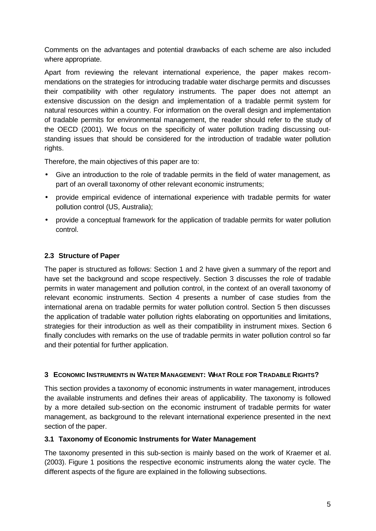Comments on the advantages and potential drawbacks of each scheme are also included where appropriate.

Apart from reviewing the relevant international experience, the paper makes recommendations on the strategies for introducing tradable water discharge permits and discusses their compatibility with other regulatory instruments. The paper does not attempt an extensive discussion on the design and implementation of a tradable permit system for natural resources within a country. For information on the overall design and implementation of tradable permits for environmental management, the reader should refer to the study of the OECD (2001). We focus on the specificity of water pollution trading discussing outstanding issues that should be considered for the introduction of tradable water pollution rights.

Therefore, the main objectives of this paper are to:

- Give an introduction to the role of tradable permits in the field of water management, as part of an overall taxonomy of other relevant economic instruments;
- provide empirical evidence of international experience with tradable permits for water pollution control (US, Australia);
- provide a conceptual framework for the application of tradable permits for water pollution control.

## **2.3 Structure of Paper**

The paper is structured as follows: Section 1 and 2 have given a summary of the report and have set the background and scope respectively. Section 3 discusses the role of tradable permits in water management and pollution control, in the context of an overall taxonomy of relevant economic instruments. Section 4 presents a number of case studies from the international arena on tradable permits for water pollution control. Section 5 then discusses the application of tradable water pollution rights elaborating on opportunities and limitations, strategies for their introduction as well as their compatibility in instrument mixes. Section 6 finally concludes with remarks on the use of tradable permits in water pollution control so far and their potential for further application.

## **3 ECONOMIC INSTRUMENTS IN WATER MANAGEMENT: WHAT ROLE FOR TRADABLE RIGHTS?**

This section provides a taxonomy of economic instruments in water management, introduces the available instruments and defines their areas of applicability. The taxonomy is followed by a more detailed sub-section on the economic instrument of tradable permits for water management, as background to the relevant international experience presented in the next section of the paper.

## **3.1 Taxonomy of Economic Instruments for Water Management**

The taxonomy presented in this sub-section is mainly based on the work of Kraemer et al. (2003). Figure 1 positions the respective economic instruments along the water cycle. The different aspects of the figure are explained in the following subsections.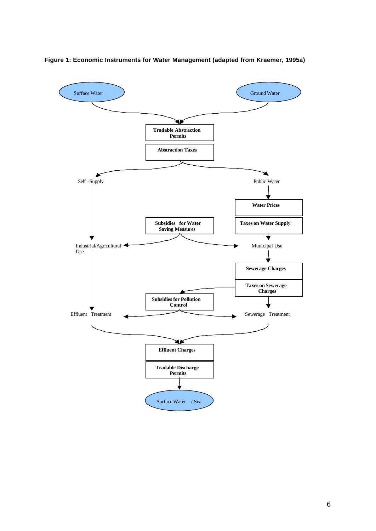

**Figure 1: Economic Instruments for Water Management (adapted from Kraemer, 1995a)**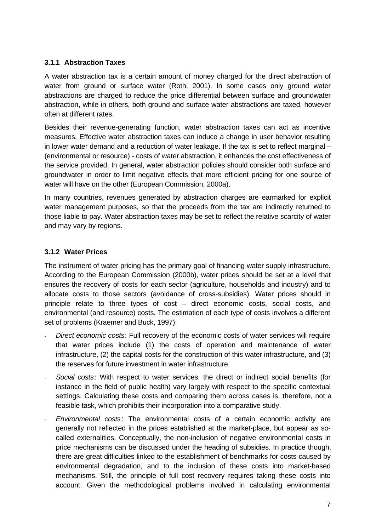## **3.1.1 Abstraction Taxes**

A water abstraction tax is a certain amount of money charged for the direct abstraction of water from ground or surface water (Roth, 2001). In some cases only ground water abstractions are charged to reduce the price differential between surface and groundwater abstraction, while in others, both ground and surface water abstractions are taxed, however often at different rates.

Besides their revenue-generating function, water abstraction taxes can act as incentive measures. Effective water abstraction taxes can induce a change in user behavior resulting in lower water demand and a reduction of water leakage. If the tax is set to reflect marginal – (environmental or resource) - costs of water abstraction, it enhances the cost effectiveness of the service provided. In general, water abstraction policies should consider both surface and groundwater in order to limit negative effects that more efficient pricing for one source of water will have on the other (European Commission, 2000a).

In many countries, revenues generated by abstraction charges are earmarked for explicit water management purposes, so that the proceeds from the tax are indirectly returned to those liable to pay. Water abstraction taxes may be set to reflect the relative scarcity of water and may vary by regions.

## **3.1.2 Water Prices**

The instrument of water pricing has the primary goal of financing water supply infrastructure. According to the European Commission (2000b), water prices should be set at a level that ensures the recovery of costs for each sector (agriculture, households and industry) and to allocate costs to those sectors (avoidance of cross-subsidies). Water prices should in principle relate to three types of cost – direct economic costs, social costs, and environmental (and resource) costs. The estimation of each type of costs involves a different set of problems (Kraemer and Buck, 1997):

- *Direct economic costs*: Full recovery of the economic costs of water services will require that water prices include (1) the costs of operation and maintenance of water infrastructure, (2) the capital costs for the construction of this water infrastructure, and (3) the reserves for future investment in water infrastructure.
- *Social costs*: With respect to water services, the direct or indirect social benefits (for instance in the field of public health) vary largely with respect to the specific contextual settings. Calculating these costs and comparing them across cases is, therefore, not a feasible task, which prohibits their incorporation into a comparative study.
- *Environmental costs*: The environmental costs of a certain economic activity are generally not reflected in the prices established at the market-place, but appear as socalled externalities. Conceptually, the non-inclusion of negative environmental costs in price mechanisms can be discussed under the heading of subsidies. In practice though, there are great difficulties linked to the establishment of benchmarks for costs caused by environmental degradation, and to the inclusion of these costs into market-based mechanisms. Still, the principle of full cost recovery requires taking these costs into account. Given the methodological problems involved in calculating environmental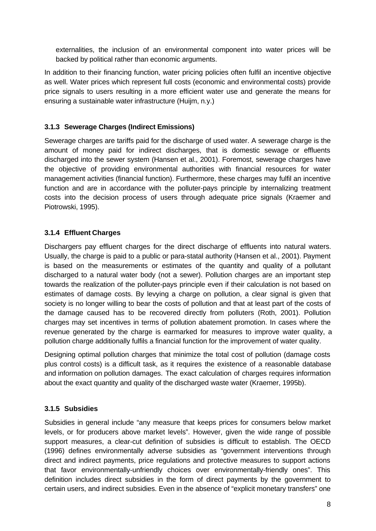externalities, the inclusion of an environmental component into water prices will be backed by political rather than economic arguments.

In addition to their financing function, water pricing policies often fulfil an incentive objective as well. Water prices which represent full costs (economic and environmental costs) provide price signals to users resulting in a more efficient water use and generate the means for ensuring a sustainable water infrastructure (Huijm, n.y.)

## **3.1.3 Sewerage Charges (Indirect Emissions)**

Sewerage charges are tariffs paid for the discharge of used water. A sewerage charge is the amount of money paid for indirect discharges, that is domestic sewage or effluents discharged into the sewer system (Hansen et al., 2001). Foremost, sewerage charges have the objective of providing environmental authorities with financial resources for water management activities (financial function). Furthermore, these charges may fulfil an incentive function and are in accordance with the polluter-pays principle by internalizing treatment costs into the decision process of users through adequate price signals (Kraemer and Piotrowski, 1995).

## **3.1.4 Effluent Charges**

Dischargers pay effluent charges for the direct discharge of effluents into natural waters. Usually, the charge is paid to a public or para-statal authority (Hansen et al., 2001). Payment is based on the measurements or estimates of the quantity and quality of a pollutant discharged to a natural water body (not a sewer). Pollution charges are an important step towards the realization of the polluter-pays principle even if their calculation is not based on estimates of damage costs. By levying a charge on pollution, a clear signal is given that society is no longer willing to bear the costs of pollution and that at least part of the costs of the damage caused has to be recovered directly from polluters (Roth, 2001). Pollution charges may set incentives in terms of pollution abatement promotion. In cases where the revenue generated by the charge is earmarked for measures to improve water quality, a pollution charge additionally fulfils a financial function for the improvement of water quality.

Designing optimal pollution charges that minimize the total cost of pollution (damage costs plus control costs) is a difficult task, as it requires the existence of a reasonable database and information on pollution damages. The exact calculation of charges requires information about the exact quantity and quality of the discharged waste water (Kraemer, 1995b).

## **3.1.5 Subsidies**

Subsidies in general include "any measure that keeps prices for consumers below market levels, or for producers above market levels". However, given the wide range of possible support measures, a clear-cut definition of subsidies is difficult to establish. The OECD (1996) defines environmentally adverse subsidies as "government interventions through direct and indirect payments, price regulations and protective measures to support actions that favor environmentally-unfriendly choices over environmentally-friendly ones". This definition includes direct subsidies in the form of direct payments by the government to certain users, and indirect subsidies. Even in the absence of "explicit monetary transfers" one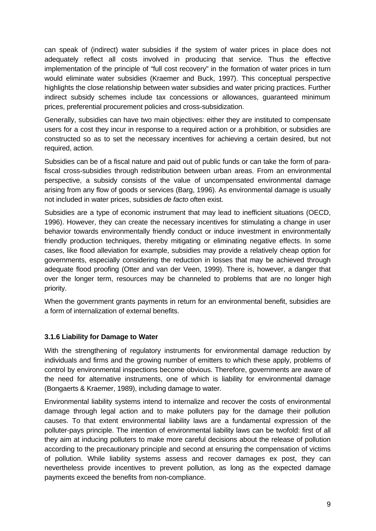can speak of (indirect) water subsidies if the system of water prices in place does not adequately reflect all costs involved in producing that service. Thus the effective implementation of the principle of "full cost recovery" in the formation of water prices in turn would eliminate water subsidies (Kraemer and Buck, 1997). This conceptual perspective highlights the close relationship between water subsidies and water pricing practices. Further indirect subsidy schemes include tax concessions or allowances, guaranteed minimum prices, preferential procurement policies and cross-subsidization.

Generally, subsidies can have two main objectives: either they are instituted to compensate users for a cost they incur in response to a required action or a prohibition, or subsidies are constructed so as to set the necessary incentives for achieving a certain desired, but not required, action.

Subsidies can be of a fiscal nature and paid out of public funds or can take the form of parafiscal cross-subsidies through redistribution between urban areas. From an environmental perspective, a subsidy consists of the value of uncompensated environmental damage arising from any flow of goods or services (Barg, 1996). As environmental damage is usually not included in water prices, subsidies *de facto* often exist.

Subsidies are a type of economic instrument that may lead to inefficient situations (OECD, 1996). However, they can create the necessary incentives for stimulating a change in user behavior towards environmentally friendly conduct or induce investment in environmentally friendly production techniques, thereby mitigating or eliminating negative effects. In some cases, like flood alleviation for example, subsidies may provide a relatively cheap option for governments, especially considering the reduction in losses that may be achieved through adequate flood proofing (Otter and van der Veen, 1999). There is, however, a danger that over the longer term, resources may be channeled to problems that are no longer high priority.

When the government grants payments in return for an environmental benefit, subsidies are a form of internalization of external benefits.

## **3.1.6 Liability for Damage to Water**

With the strengthening of regulatory instruments for environmental damage reduction by individuals and firms and the growing number of emitters to which these apply, problems of control by environmental inspections become obvious. Therefore, governments are aware of the need for alternative instruments, one of which is liability for environmental damage (Bongaerts & Kraemer, 1989), including damage to water.

Environmental liability systems intend to internalize and recover the costs of environmental damage through legal action and to make polluters pay for the damage their pollution causes. To that extent environmental liability laws are a fundamental expression of the polluter-pays principle. The intention of environmental liability laws can be twofold: first of all they aim at inducing polluters to make more careful decisions about the release of pollution according to the precautionary principle and second at ensuring the compensation of victims of pollution. While liability systems assess and recover damages ex post, they can nevertheless provide incentives to prevent pollution, as long as the expected damage payments exceed the benefits from non-compliance.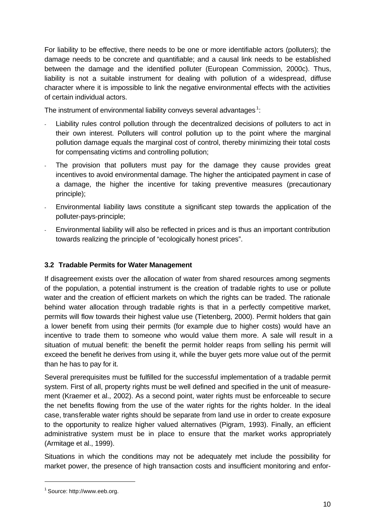For liability to be effective, there needs to be one or more identifiable actors (polluters); the damage needs to be concrete and quantifiable; and a causal link needs to be established between the damage and the identified polluter (European Commission, 2000c). Thus, liability is not a suitable instrument for dealing with pollution of a widespread, diffuse character where it is impossible to link the negative environmental effects with the activities of certain individual actors.

The instrument of environmental liability conveys several advantages  $^1$ :

- Liability rules control pollution through the decentralized decisions of polluters to act in their own interest. Polluters will control pollution up to the point where the marginal pollution damage equals the marginal cost of control, thereby minimizing their total costs for compensating victims and controlling pollution;
- The provision that polluters must pay for the damage they cause provides great incentives to avoid environmental damage. The higher the anticipated payment in case of a damage, the higher the incentive for taking preventive measures (precautionary principle);
- Environmental liability laws constitute a significant step towards the application of the polluter-pays-principle;
- Environmental liability will also be reflected in prices and is thus an important contribution towards realizing the principle of "ecologically honest prices".

## **3.2 Tradable Permits for Water Management**

If disagreement exists over the allocation of water from shared resources among segments of the population, a potential instrument is the creation of tradable rights to use or pollute water and the creation of efficient markets on which the rights can be traded. The rationale behind water allocation through tradable rights is that in a perfectly competitive market, permits will flow towards their highest value use (Tietenberg, 2000). Permit holders that gain a lower benefit from using their permits (for example due to higher costs) would have an incentive to trade them to someone who would value them more. A sale will result in a situation of mutual benefit: the benefit the permit holder reaps from selling his permit will exceed the benefit he derives from using it, while the buyer gets more value out of the permit than he has to pay for it.

Several prerequisites must be fulfilled for the successful implementation of a tradable permit system. First of all, property rights must be well defined and specified in the unit of measurement (Kraemer et al., 2002). As a second point, water rights must be enforceable to secure the net benefits flowing from the use of the water rights for the rights holder. In the ideal case, transferable water rights should be separate from land use in order to create exposure to the opportunity to realize higher valued alternatives (Pigram, 1993). Finally, an efficient administrative system must be in place to ensure that the market works appropriately (Armitage et al., 1999).

Situations in which the conditions may not be adequately met include the possibility for market power, the presence of high transaction costs and insufficient monitoring and enfor-

l

<sup>&</sup>lt;sup>1</sup> Source: http://www.eeb.org.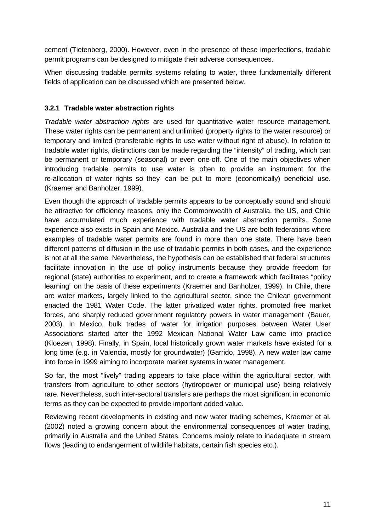cement (Tietenberg, 2000). However, even in the presence of these imperfections, tradable permit programs can be designed to mitigate their adverse consequences.

When discussing tradable permits systems relating to water, three fundamentally different fields of application can be discussed which are presented below.

## **3.2.1 Tradable water abstraction rights**

*Tradable water abstraction rights* are used for quantitative water resource management. These water rights can be permanent and unlimited (property rights to the water resource) or temporary and limited (transferable rights to use water without right of abuse). In relation to tradable water rights, distinctions can be made regarding the "intensity" of trading, which can be permanent or temporary (seasonal) or even one-off. One of the main objectives when introducing tradable permits to use water is often to provide an instrument for the re-allocation of water rights so they can be put to more (economically) beneficial use. (Kraemer and Banholzer, 1999).

Even though the approach of tradable permits appears to be conceptually sound and should be attractive for efficiency reasons, only the Commonwealth of Australia, the US, and Chile have accumulated much experience with tradable water abstraction permits. Some experience also exists in Spain and Mexico. Australia and the US are both federations where examples of tradable water permits are found in more than one state. There have been different patterns of diffusion in the use of tradable permits in both cases, and the experience is not at all the same. Nevertheless, the hypothesis can be established that federal structures facilitate innovation in the use of policy instruments because they provide freedom for regional (state) authorities to experiment, and to create a framework which facilitates "policy learning" on the basis of these experiments (Kraemer and Banholzer, 1999). In Chile, there are water markets, largely linked to the agricultural sector, since the Chilean government enacted the 1981 Water Code. The latter privatized water rights, promoted free market forces, and sharply reduced government regulatory powers in water management (Bauer, 2003). In Mexico, bulk trades of water for irrigation purposes between Water User Associations started after the 1992 Mexican National Water Law came into practice (Kloezen, 1998). Finally, in Spain, local historically grown water markets have existed for a long time (e.g. in Valencia, mostly for groundwater) (Garrido, 1998). A new water law came into force in 1999 aiming to incorporate market systems in water management.

So far, the most "lively" trading appears to take place within the agricultural sector, with transfers from agriculture to other sectors (hydropower or municipal use) being relatively rare. Nevertheless, such inter-sectoral transfers are perhaps the most significant in economic terms as they can be expected to provide important added value.

Reviewing recent developments in existing and new water trading schemes, Kraemer et al. (2002) noted a growing concern about the environmental consequences of water trading, primarily in Australia and the United States. Concerns mainly relate to inadequate in stream flows (leading to endangerment of wildlife habitats, certain fish species etc.).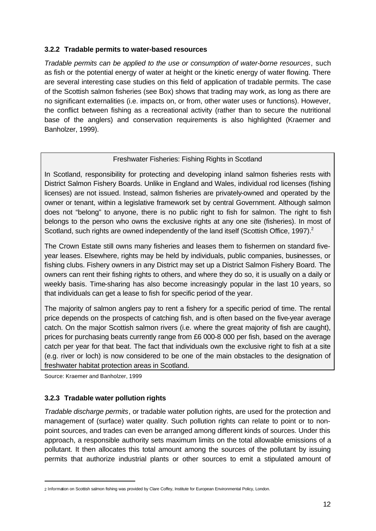#### **3.2.2 Tradable permits to water-based resources**

*Tradable permits can be applied to the use or consumption of water-borne resources*, such as fish or the potential energy of water at height or the kinetic energy of water flowing. There are several interesting case studies on this field of application of tradable permits. The case of the Scottish salmon fisheries (see Box) shows that trading may work, as long as there are no significant externalities (i.e. impacts on, or from, other water uses or functions). However, the conflict between fishing as a recreational activity (rather than to secure the nutritional base of the anglers) and conservation requirements is also highlighted (Kraemer and Banholzer, 1999).

## Freshwater Fisheries: Fishing Rights in Scotland

In Scotland, responsibility for protecting and developing inland salmon fisheries rests with District Salmon Fishery Boards. Unlike in England and Wales, individual rod licenses (fishing licenses) are not issued. Instead, salmon fisheries are privately-owned and operated by the owner or tenant, within a legislative framework set by central Government. Although salmon does not "belong" to anyone, there is no public right to fish for salmon. The right to fish belongs to the person who owns the exclusive rights at any one site (fisheries). In most of Scotland, such rights are owned independently of the land itself (Scottish Office, 1997).<sup>2</sup>

The Crown Estate still owns many fisheries and leases them to fishermen on standard fiveyear leases. Elsewhere, rights may be held by individuals, public companies, businesses, or fishing clubs. Fishery owners in any District may set up a District Salmon Fishery Board. The owners can rent their fishing rights to others, and where they do so, it is usually on a daily or weekly basis. Time-sharing has also become increasingly popular in the last 10 years, so that individuals can get a lease to fish for specific period of the year.

The majority of salmon anglers pay to rent a fishery for a specific period of time. The rental price depends on the prospects of catching fish, and is often based on the five-year average catch. On the major Scottish salmon rivers (i.e. where the great majority of fish are caught), prices for purchasing beats currently range from £6 000-8 000 per fish, based on the average catch per year for that beat. The fact that individuals own the exclusive right to fish at a site (e.g. river or loch) is now considered to be one of the main obstacles to the designation of freshwater habitat protection areas in Scotland.

Source: Kraemer and Banholzer, 1999

l

## **3.2.3 Tradable water pollution rights**

*Tradable discharge permits*, or tradable water pollution rights, are used for the protection and management of (surface) water quality. Such pollution rights can relate to point or to nonpoint sources, and trades can even be arranged among different kinds of sources. Under this approach, a responsible authority sets maximum limits on the total allowable emissions of a pollutant. It then allocates this total amount among the sources of the pollutant by issuing permits that authorize industrial plants or other sources to emit a stipulated amount of

<sup>2</sup> Information on Scottish salmon fishing was provided by Clare Coffey, Institute for European Environmental Policy, London.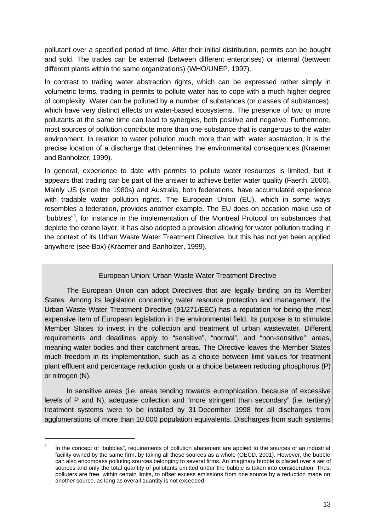pollutant over a specified period of time. After their initial distribution, permits can be bought and sold. The trades can be external (between different enterprises) or internal (between different plants within the same organizations) (WHO/UNEP, 1997).

In contrast to trading water abstraction rights, which can be expressed rather simply in volumetric terms, trading in permits to pollute water has to cope with a much higher degree of complexity. Water can be polluted by a number of substances (or classes of substances), which have very distinct effects on water-based ecosystems. The presence of two or more pollutants at the same time can lead to synergies, both positive and negative. Furthermore, most sources of pollution contribute more than one substance that is dangerous to the water environment. In relation to water pollution much more than with water abstraction, it is the precise location of a discharge that determines the environmental consequences (Kraemer and Banholzer, 1999).

In general, experience to date with permits to pollute water resources is limited, but it appears that trading can be part of the answer to achieve better water quality (Faerth, 2000). Mainly US (since the 1980s) and Australia, both federations, have accumulated experience with tradable water pollution rights. The European Union (EU), which in some ways resembles a federation, provides another example. The EU does on occasion make use of "bubbles"<sup>3</sup>, for instance in the implementation of the Montreal Protocol on substances that deplete the ozone layer. It has also adopted a provision allowing for water pollution trading in the context of its Urban Waste Water Treatment Directive, but this has not yet been applied anywhere (see Box) (Kraemer and Banholzer, 1999).

## European Union: Urban Waste Water Treatment Directive

The European Union can adopt Directives that are legally binding on its Member States. Among its legislation concerning water resource protection and management, the Urban Waste Water Treatment Directive (91/271/EEC) has a reputation for being the most expensive item of European legislation in the environmental field. Its purpose is to stimulate Member States to invest in the collection and treatment of urban wastewater. Different requirements and deadlines apply to "sensitive", "normal", and "non-sensitive" areas, meaning water bodies and their catchment areas. The Directive leaves the Member States much freedom in its implementation, such as a choice between limit values for treatment plant effluent and percentage reduction goals or a choice between reducing phosphorus (P) or nitrogen (N).

In sensitive areas (i.e. areas tending towards eutrophication, because of excessive levels of P and N), adequate collection and "more stringent than secondary" (i.e. tertiary) treatment systems were to be installed by 31 December 1998 for all discharges from agglomerations of more than 10 000 population equivalents. Discharges from such systems

l

<sup>3</sup> In the concept of "bubbles", requirements of pollution abatement are applied to the sources of an industrial facility owned by the same firm, by taking all these sources as a whole (OECD, 2001). However, the bubble can also encompass polluting sources belonging to several firms. An imaginary bubble is placed over a set of sources and only the total quantity of pollutants emitted under the bubble is taken into consideration. Thus, polluters are free, within certain limits, to offset excess emissions from one source by a reduction made on another source, as long as overall quantity is not exceeded.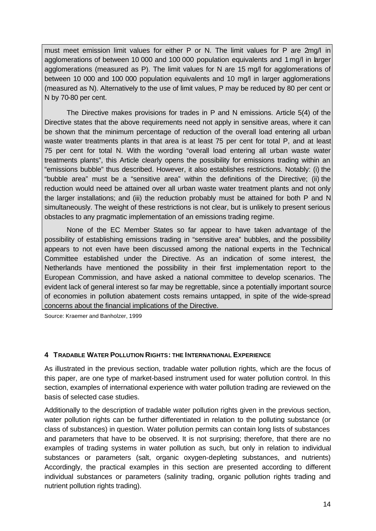must meet emission limit values for either  $P$  or N. The limit values for  $P$  are  $2mq/l$  in agglomerations of between 10 000 and 100 000 population equivalents and 1 mg/l in larger agglomerations (measured as P). The limit values for N are 15 mg/l for agglomerations of between 10 000 and 100 000 population equivalents and 10 mg/l in larger agglomerations (measured as N). Alternatively to the use of limit values, P may be reduced by 80 per cent or N by 70-80 per cent.

The Directive makes provisions for trades in P and N emissions. Article 5(4) of the Directive states that the above requirements need not apply in sensitive areas, where it can be shown that the minimum percentage of reduction of the overall load entering all urban waste water treatments plants in that area is at least 75 per cent for total P, and at least 75 per cent for total N. With the wording "overall load entering all urban waste water treatments plants", this Article clearly opens the possibility for emissions trading within an "emissions bubble" thus described. However, it also establishes restrictions. Notably: (i) the "bubble area" must be a "sensitive area" within the definitions of the Directive; (ii) the reduction would need be attained over all urban waste water treatment plants and not only the larger installations; and (iii) the reduction probably must be attained for both P and N simultaneously. The weight of these restrictions is not clear, but is unlikely to present serious obstacles to any pragmatic implementation of an emissions trading regime.

None of the EC Member States so far appear to have taken advantage of the possibility of establishing emissions trading in "sensitive area" bubbles, and the possibility appears to not even have been discussed among the national experts in the Technical Committee established under the Directive. As an indication of some interest, the Netherlands have mentioned the possibility in their first implementation report to the European Commission, and have asked a national committee to develop scenarios. The evident lack of general interest so far may be regrettable, since a potentially important source of economies in pollution abatement costs remains untapped, in spite of the wide-spread concerns about the financial implications of the Directive.

Source: Kraemer and Banholzer, 1999

#### **4 TRADABLE WATER POLLUTION RIGHTS: THE INTERNATIONAL EXPERIENCE**

As illustrated in the previous section, tradable water pollution rights, which are the focus of this paper, are one type of market-based instrument used for water pollution control. In this section, examples of international experience with water pollution trading are reviewed on the basis of selected case studies.

Additionally to the description of tradable water pollution rights given in the previous section, water pollution rights can be further differentiated in relation to the polluting substance (or class of substances) in question. Water pollution permits can contain long lists of substances and parameters that have to be observed. It is not surprising; therefore, that there are no examples of trading systems in water pollution as such, but only in relation to individual substances or parameters (salt, organic oxygen-depleting substances, and nutrients) Accordingly, the practical examples in this section are presented according to different individual substances or parameters (salinity trading, organic pollution rights trading and nutrient pollution rights trading).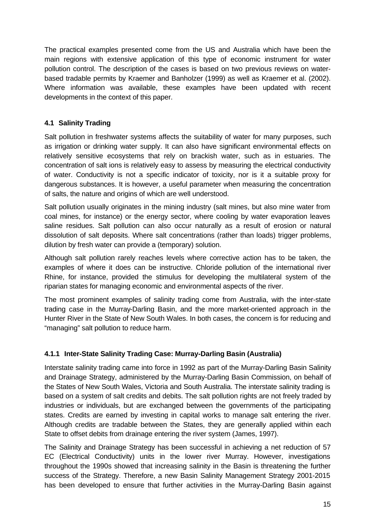The practical examples presented come from the US and Australia which have been the main regions with extensive application of this type of economic instrument for water pollution control. The description of the cases is based on two previous reviews on waterbased tradable permits by Kraemer and Banholzer (1999) as well as Kraemer et al. (2002). Where information was available, these examples have been updated with recent developments in the context of this paper.

## **4.1 Salinity Trading**

Salt pollution in freshwater systems affects the suitability of water for many purposes, such as irrigation or drinking water supply. It can also have significant environmental effects on relatively sensitive ecosystems that rely on brackish water, such as in estuaries. The concentration of salt ions is relatively easy to assess by measuring the electrical conductivity of water. Conductivity is not a specific indicator of toxicity, nor is it a suitable proxy for dangerous substances. It is however, a useful parameter when measuring the concentration of salts, the nature and origins of which are well understood.

Salt pollution usually originates in the mining industry (salt mines, but also mine water from coal mines, for instance) or the energy sector, where cooling by water evaporation leaves saline residues. Salt pollution can also occur naturally as a result of erosion or natural dissolution of salt deposits. Where salt concentrations (rather than loads) trigger problems, dilution by fresh water can provide a (temporary) solution.

Although salt pollution rarely reaches levels where corrective action has to be taken, the examples of where it does can be instructive. Chloride pollution of the international river Rhine, for instance, provided the stimulus for developing the multilateral system of the riparian states for managing economic and environmental aspects of the river.

The most prominent examples of salinity trading come from Australia, with the inter-state trading case in the Murray-Darling Basin, and the more market-oriented approach in the Hunter River in the State of New South Wales. In both cases, the concern is for reducing and "managing" salt pollution to reduce harm.

## **4.1.1 Inter-State Salinity Trading Case: Murray-Darling Basin (Australia)**

Interstate salinity trading came into force in 1992 as part of the Murray-Darling Basin Salinity and Drainage Strategy, administered by the Murray-Darling Basin Commission, on behalf of the States of New South Wales, Victoria and South Australia. The interstate salinity trading is based on a system of salt credits and debits. The salt pollution rights are not freely traded by industries or individuals, but are exchanged between the governments of the participating states. Credits are earned by investing in capital works to manage salt entering the river. Although credits are tradable between the States, they are generally applied within each State to offset debits from drainage entering the river system (James, 1997).

The Salinity and Drainage Strategy has been successful in achieving a net reduction of 57 EC (Electrical Conductivity) units in the lower river Murray. However, investigations throughout the 1990s showed that increasing salinity in the Basin is threatening the further success of the Strategy. Therefore, a new Basin Salinity Management Strategy 2001-2015 has been developed to ensure that further activities in the Murray-Darling Basin against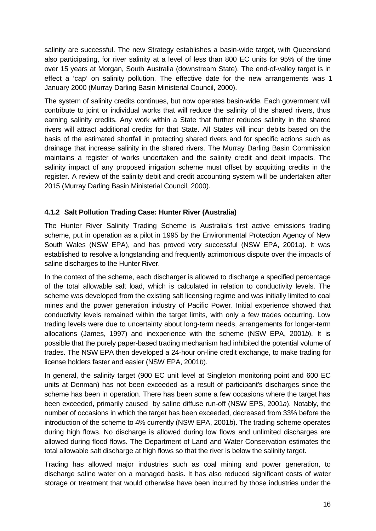salinity are successful. The new Strategy establishes a basin-wide target, with Queensland also participating, for river salinity at a level of less than 800 EC units for 95% of the time over 15 years at Morgan, South Australia (downstream State). The end-of-valley target is in effect a 'cap' on salinity pollution. The effective date for the new arrangements was 1 January 2000 (Murray Darling Basin Ministerial Council, 2000).

The system of salinity credits continues, but now operates basin-wide. Each government will contribute to joint or individual works that will reduce the salinity of the shared rivers, thus earning salinity credits. Any work within a State that further reduces salinity in the shared rivers will attract additional credits for that State. All States will incur debits based on the basis of the estimated shortfall in protecting shared rivers and for specific actions such as drainage that increase salinity in the shared rivers. The Murray Darling Basin Commission maintains a register of works undertaken and the salinity credit and debit impacts. The salinity impact of any proposed irrigation scheme must offset by acquitting credits in the register. A review of the salinity debit and credit accounting system will be undertaken after 2015 (Murray Darling Basin Ministerial Council, 2000).

## **4.1.2 Salt Pollution Trading Case: Hunter River (Australia)**

The Hunter River Salinity Trading Scheme is Australia's first active emissions trading scheme, put in operation as a pilot in 1995 by the Environmental Protection Agency of New South Wales (NSW EPA), and has proved very successful (NSW EPA, 2001*a*). It was established to resolve a longstanding and frequently acrimonious dispute over the impacts of saline discharges to the Hunter River.

In the context of the scheme, each discharger is allowed to discharge a specified percentage of the total allowable salt load, which is calculated in relation to conductivity levels. The scheme was developed from the existing salt licensing regime and was initially limited to coal mines and the power generation industry of Pacific Power. Initial experience showed that conductivity levels remained within the target limits, with only a few trades occurring. Low trading levels were due to uncertainty about long-term needs, arrangements for longer-term allocations (James, 1997) and inexperience with the scheme (NSW EPA, 2001*b*). It is possible that the purely paper-based trading mechanism had inhibited the potential volume of trades. The NSW EPA then developed a 24-hour on-line credit exchange, to make trading for license holders faster and easier (NSW EPA, 2001*b*).

In general, the salinity target (900 EC unit level at Singleton monitoring point and 600 EC units at Denman) has not been exceeded as a result of participant's discharges since the scheme has been in operation. There has been some a few occasions where the target has been exceeded, primarily caused by saline diffuse run-off (NSW EPS, 2001*a*). Notably, the number of occasions in which the target has been exceeded, decreased from 33% before the introduction of the scheme to 4% currently (NSW EPA, 2001*b*). The trading scheme operates during high flows. No discharge is allowed during low flows and unlimited discharges are allowed during flood flows. The Department of Land and Water Conservation estimates the total allowable salt discharge at high flows so that the river is below the salinity target.

Trading has allowed major industries such as coal mining and power generation, to discharge saline water on a managed basis. It has also reduced significant costs of water storage or treatment that would otherwise have been incurred by those industries under the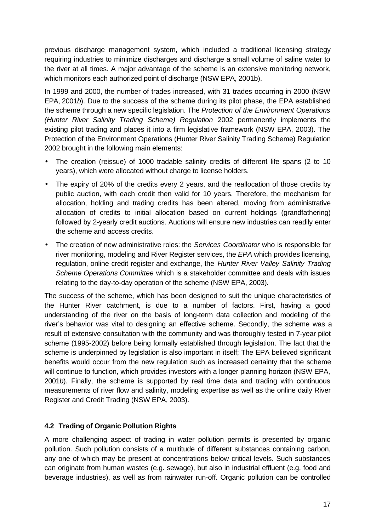previous discharge management system, which included a traditional licensing strategy requiring industries to minimize discharges and discharge a small volume of saline water to the river at all times. A major advantage of the scheme is an extensive monitoring network, which monitors each authorized point of discharge (NSW EPA, 2001b).

In 1999 and 2000, the number of trades increased, with 31 trades occurring in 2000 (NSW EPA, 2001*b*). Due to the success of the scheme during its pilot phase, the EPA established the scheme through a new specific legislation. The *Protection of the Environment Operations (Hunter River Salinity Trading Scheme) Regulation* 2002 permanently implements the existing pilot trading and places it into a firm legislative framework (NSW EPA, 2003). The Protection of the Environment Operations (Hunter River Salinity Trading Scheme) Regulation 2002 brought in the following main elements:

- The creation (reissue) of 1000 tradable salinity credits of different life spans (2 to 10 years), which were allocated without charge to license holders.
- The expiry of 20% of the credits every 2 years, and the reallocation of those credits by public auction, with each credit then valid for 10 years. Therefore, the mechanism for allocation, holding and trading credits has been altered, moving from administrative allocation of credits to initial allocation based on current holdings (grandfathering) followed by 2-yearly credit auctions. Auctions will ensure new industries can readily enter the scheme and access credits.
- The creation of new administrative roles: the *Services Coordinator* who is responsible for river monitoring, modeling and River Register services, the *EPA* which provides licensing, regulation, online credit register and exchange, the *Hunter River Valley Salinity Trading Scheme Operations Committee* which is a stakeholder committee and deals with issues relating to the day-to-day operation of the scheme (NSW EPA, 2003)*.*

The success of the scheme, which has been designed to suit the unique characteristics of the Hunter River catchment, is due to a number of factors. First, having a good understanding of the river on the basis of long-term data collection and modeling of the river's behavior was vital to designing an effective scheme. Secondly, the scheme was a result of extensive consultation with the community and was thoroughly tested in 7-year pilot scheme (1995-2002) before being formally established through legislation. The fact that the scheme is underpinned by legislation is also important in itself; The EPA believed significant benefits would occur from the new regulation such as increased certainty that the scheme will continue to function, which provides investors with a longer planning horizon (NSW EPA, 2001*b*). Finally, the scheme is supported by real time data and trading with continuous measurements of river flow and salinity, modeling expertise as well as the online daily River Register and Credit Trading (NSW EPA, 2003).

## **4.2 Trading of Organic Pollution Rights**

A more challenging aspect of trading in water pollution permits is presented by organic pollution. Such pollution consists of a multitude of different substances containing carbon, any one of which may be present at concentrations below critical levels. Such substances can originate from human wastes (e.g. sewage), but also in industrial effluent (e.g. food and beverage industries), as well as from rainwater run-off. Organic pollution can be controlled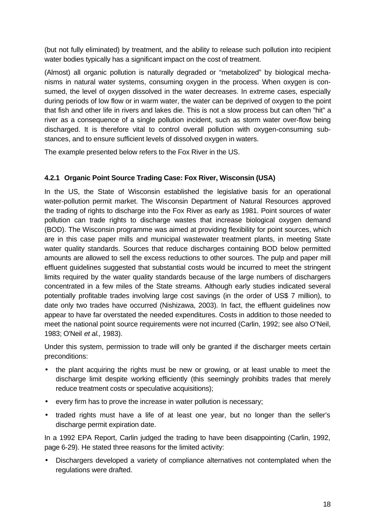(but not fully eliminated) by treatment, and the ability to release such pollution into recipient water bodies typically has a significant impact on the cost of treatment.

(Almost) all organic pollution is naturally degraded or "metabolized" by biological mechanisms in natural water systems, consuming oxygen in the process. When oxygen is consumed, the level of oxygen dissolved in the water decreases. In extreme cases, especially during periods of low flow or in warm water, the water can be deprived of oxygen to the point that fish and other life in rivers and lakes die. This is not a slow process but can often "hit" a river as a consequence of a single pollution incident, such as storm water over-flow being discharged. It is therefore vital to control overall pollution with oxygen-consuming substances, and to ensure sufficient levels of dissolved oxygen in waters.

The example presented below refers to the Fox River in the US.

## **4.2.1 Organic Point Source Trading Case: Fox River, Wisconsin (USA)**

In the US, the State of Wisconsin established the legislative basis for an operational water-pollution permit market. The Wisconsin Department of Natural Resources approved the trading of rights to discharge into the Fox River as early as 1981. Point sources of water pollution can trade rights to discharge wastes that increase biological oxygen demand (BOD). The Wisconsin programme was aimed at providing flexibility for point sources, which are in this case paper mills and municipal wastewater treatment plants, in meeting State water quality standards. Sources that reduce discharges containing BOD below permitted amounts are allowed to sell the excess reductions to other sources. The pulp and paper mill effluent guidelines suggested that substantial costs would be incurred to meet the stringent limits required by the water quality standards because of the large numbers of dischargers concentrated in a few miles of the State streams. Although early studies indicated several potentially profitable trades involving large cost savings (in the order of US\$ 7 million), to date only two trades have occurred (Nishizawa, 2003). In fact, the effluent guidelines now appear to have far overstated the needed expenditures. Costs in addition to those needed to meet the national point source requirements were not incurred (Carlin, 1992; see also O'Neil, 1983; O'Neil *et al.,* 1983).

Under this system, permission to trade will only be granted if the discharger meets certain preconditions:

- the plant acquiring the rights must be new or growing, or at least unable to meet the discharge limit despite working efficiently (this seemingly prohibits trades that merely reduce treatment costs or speculative acquisitions);
- every firm has to prove the increase in water pollution is necessary;
- traded rights must have a life of at least one year, but no longer than the seller's discharge permit expiration date.

In a 1992 EPA Report, Carlin judged the trading to have been disappointing (Carlin, 1992, page 6-29). He stated three reasons for the limited activity:

• Dischargers developed a variety of compliance alternatives not contemplated when the regulations were drafted.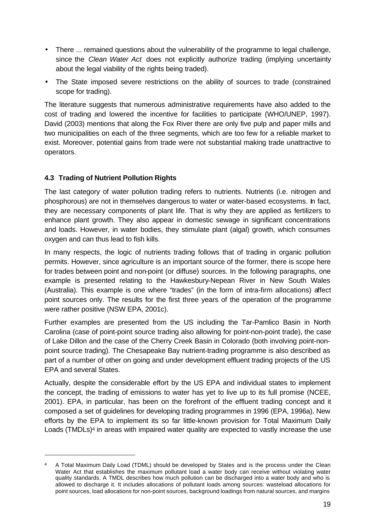- There ... remained questions about the vulnerability of the programme to legal challenge, since the *Clean Water Act* does not explicitly authorize trading (implying uncertainty about the legal viability of the rights being traded).
- The State imposed severe restrictions on the ability of sources to trade (constrained scope for trading).

The literature suggests that numerous administrative requirements have also added to the cost of trading and lowered the incentive for facilities to participate (WHO/UNEP, 1997). David (2003) mentions that along the Fox River there are only five pulp and paper mills and two municipalities on each of the three segments, which are too few for a reliable market to exist. Moreover, potential gains from trade were not substantial making trade unattractive to operators.

## **4.3 Trading of Nutrient Pollution Rights**

l

The last category of water pollution trading refers to nutrients. Nutrients (i.e. nitrogen and phosphorous) are not in themselves dangerous to water or water-based ecosystems. In fact, they are necessary components of plant life. That is why they are applied as fertilizers to enhance plant growth. They also appear in domestic sewage in significant concentrations and loads. However, in water bodies, they stimulate plant (algal) growth, which consumes oxygen and can thus lead to fish kills.

In many respects, the logic of nutrients trading follows that of trading in organic pollution permits. However, since agriculture is an important source of the former, there is scope here for trades between point and non-point (or diffuse) sources. In the following paragraphs, one example is presented relating to the Hawkesbury-Nepean River in New South Wales (Australia). This example is one where "trades" (in the form of intra-firm allocations) affect point sources only. The results for the first three years of the operation of the programme were rather positive (NSW EPA, 2001c).

Further examples are presented from the US including the Tar-Pamlico Basin in North Carolina (case of point-point source trading also allowing for point-non-point trade), the case of Lake Dillon and the case of the Cherry Creek Basin in Colorado (both involving point-nonpoint source trading). The Chesapeake Bay nutrient-trading programme is also described as part of a number of other on going and under development effluent trading projects of the US EPA and several States.

Actually, despite the considerable effort by the US EPA and individual states to implement the concept, the trading of emissions to water has yet to live up to its full promise (NCEE, 2001). EPA, in particular, has been on the forefront of the effluent trading concept and it composed a set of guidelines for developing trading programmes in 1996 (EPA, 1996a). New efforts by the EPA to implement its so far little-known provision for Total Maximum Daily Loads (TMDLs)<sup>4</sup> in areas with impaired water quality are expected to vastly increase the use

<sup>4</sup> A Total Maximum Daily Load (TDML) should be developed by States and is the process under the Clean Water Act that establishes the maximum pollutant load a water body can receive without violating water quality standards. A TMDL describes how much pollution can be discharged into a water body and who is allowed to discharge it. It includes allocations of pollutant loads among sources: wasteload allocations for point sources, load allocations for non-point sources, background loadings from natural sources, and margins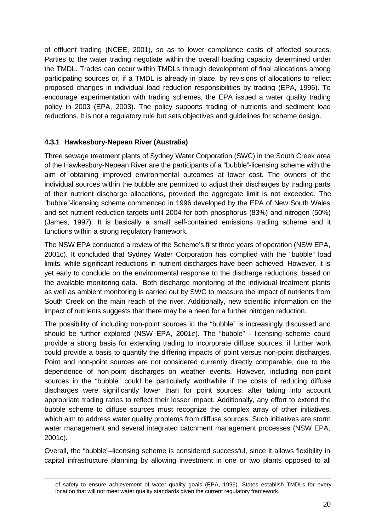of effluent trading (NCEE, 2001), so as to lower compliance costs of affected sources. Parties to the water trading negotiate within the overall loading capacity determined under the TMDL. Trades can occur within TMDLs through development of final allocations among participating sources or, if a TMDL is already in place, by revisions of allocations to reflect proposed changes in individual load reduction responsibilities by trading (EPA, 1996). To encourage experimentation with trading schemes, the EPA issued a water quality trading policy in 2003 (EPA, 2003). The policy supports trading of nutrients and sediment load reductions. It is not a regulatory rule but sets objectives and guidelines for scheme design.

## **4.3.1 Hawkesbury-Nepean River (Australia)**

l

Three sewage treatment plants of Sydney Water Corporation (SWC) in the South Creek area of the Hawkesbury-Nepean River are the participants of a "bubble"-licensing scheme with the aim of obtaining improved environmental outcomes at lower cost. The owners of the individual sources within the bubble are permitted to adjust their discharges by trading parts of their nutrient discharge allocations, provided the aggregate limit is not exceeded. The "bubble"-licensing scheme commenced in 1996 developed by the EPA of New South Wales and set nutrient reduction targets until 2004 for both phosphorus (83%) and nitrogen (50%) (James, 1997). It is basically a small self-contained emissions trading scheme and it functions within a strong regulatory framework.

The NSW EPA conducted a review of the Scheme's first three years of operation (NSW EPA, 2001c). It concluded that Sydney Water Corporation has complied with the "bubble" load limits, while significant reductions in nutrient discharges have been achieved. However, it is yet early to conclude on the environmental response to the discharge reductions, based on the available monitoring data. Both discharge monitoring of the individual treatment plants as well as ambient monitoring is carried out by SWC to measure the impact of nutrients from South Creek on the main reach of the river. Additionally, new scientific information on the impact of nutrients suggests that there may be a need for a further nitrogen reduction.

The possibility of including non-point sources in the "bubble" is increasingly discussed and should be further explored (NSW EPA, 2001*c*). The "bubble" - licensing scheme could provide a strong basis for extending trading to incorporate diffuse sources, if further work could provide a basis to quantify the differing impacts of point versus non-point discharges. Point and non-point sources are not considered currently directly comparable, due to the dependence of non-point discharges on weather events. However, including non-point sources in the "bubble" could be particularly worthwhile if the costs of reducing diffuse discharges were significantly lower than for point sources, after taking into account appropriate trading ratios to reflect their lesser impact. Additionally, any effort to extend the bubble scheme to diffuse sources must recognize the complex array of other initiatives, which aim to address water quality problems from diffuse sources. Such initiatives are storm water management and several integrated catchment management processes (NSW EPA, 2001c).

Overall, the "bubble"–licensing scheme is considered successful, since it allows flexibility in capital infrastructure planning by allowing investment in one or two plants opposed to all

of safety to ensure achievement of water quality goals (EPA, 1996). States establish TMDLs for every location that will not meet water quality standards given the current regulatory framework.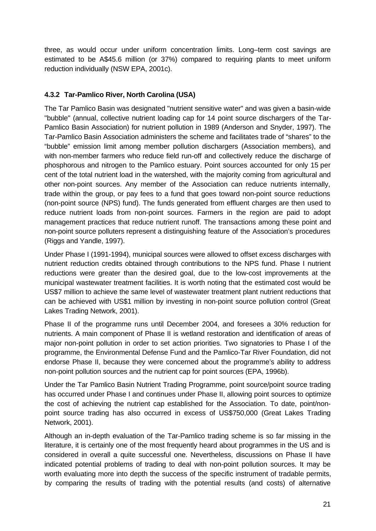three, as would occur under uniform concentration limits. Long–term cost savings are estimated to be A\$45.6 million (or 37%) compared to requiring plants to meet uniform reduction individually (NSW EPA, 2001c).

## **4.3.2 Tar-Pamlico River, North Carolina (USA)**

The Tar Pamlico Basin was designated "nutrient sensitive water" and was given a basin-wide "bubble" (annual, collective nutrient loading cap for 14 point source dischargers of the Tar-Pamlico Basin Association) for nutrient pollution in 1989 (Anderson and Snyder, 1997). The Tar-Pamlico Basin Association administers the scheme and facilitates trade of "shares" to the "bubble" emission limit among member pollution dischargers (Association members), and with non-member farmers who reduce field run-off and collectively reduce the discharge of phosphorous and nitrogen to the Pamlico estuary. Point sources accounted for only 15 per cent of the total nutrient load in the watershed, with the majority coming from agricultural and other non-point sources. Any member of the Association can reduce nutrients internally, trade within the group, or pay fees to a fund that goes toward non-point source reductions (non-point source (NPS) fund). The funds generated from effluent charges are then used to reduce nutrient loads from non-point sources. Farmers in the region are paid to adopt management practices that reduce nutrient runoff. The transactions among these point and non-point source polluters represent a distinguishing feature of the Association's procedures (Riggs and Yandle, 1997).

Under Phase I (1991-1994), municipal sources were allowed to offset excess discharges with nutrient reduction credits obtained through contributions to the NPS fund. Phase I nutrient reductions were greater than the desired goal, due to the low-cost improvements at the municipal wastewater treatment facilities. It is worth noting that the estimated cost would be US\$7 million to achieve the same level of wastewater treatment plant nutrient reductions that can be achieved with US\$1 million by investing in non-point source pollution control (Great Lakes Trading Network, 2001).

Phase II of the programme runs until December 2004, and foresees a 30% reduction for nutrients. A main component of Phase II is wetland restoration and identification of areas of major non-point pollution in order to set action priorities. Two signatories to Phase I of the programme, the Environmental Defense Fund and the Pamlico-Tar River Foundation, did not endorse Phase II, because they were concerned about the programme's ability to address non-point pollution sources and the nutrient cap for point sources (EPA, 1996b).

Under the Tar Pamlico Basin Nutrient Trading Programme, point source/point source trading has occurred under Phase I and continues under Phase II, allowing point sources to optimize the cost of achieving the nutrient cap established for the Association. To date, point/nonpoint source trading has also occurred in excess of US\$750,000 (Great Lakes Trading Network, 2001).

Although an in-depth evaluation of the Tar-Pamlico trading scheme is so far missing in the literature, it is certainly one of the most frequently heard about programmes in the US and is considered in overall a quite successful one. Nevertheless, discussions on Phase II have indicated potential problems of trading to deal with non-point pollution sources. It may be worth evaluating more into depth the success of the specific instrument of tradable permits, by comparing the results of trading with the potential results (and costs) of alternative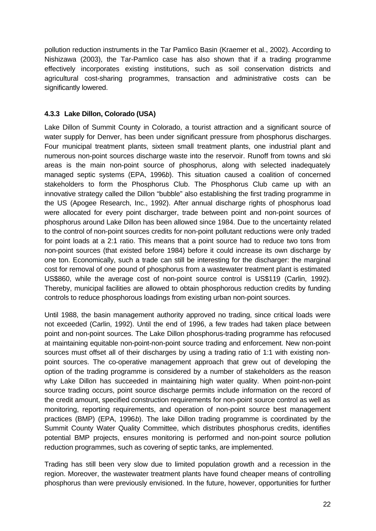pollution reduction instruments in the Tar Pamlico Basin (Kraemer et al., 2002). According to Nishizawa (2003), the Tar-Pamlico case has also shown that if a trading programme effectively incorporates existing institutions, such as soil conservation districts and agricultural cost-sharing programmes, transaction and administrative costs can be significantly lowered.

## **4.3.3 Lake Dillon, Colorado (USA)**

Lake Dillon of Summit County in Colorado, a tourist attraction and a significant source of water supply for Denver, has been under significant pressure from phosphorus discharges. Four municipal treatment plants, sixteen small treatment plants, one industrial plant and numerous non-point sources discharge waste into the reservoir. Runoff from towns and ski areas is the main non-point source of phosphorus, along with selected inadequately managed septic systems (EPA, 1996*b*). This situation caused a coalition of concerned stakeholders to form the Phosphorus Club. The Phosphorus Club came up with an innovative strategy called the Dillon "bubble" also establishing the first trading programme in the US (Apogee Research, Inc., 1992). After annual discharge rights of phosphorus load were allocated for every point discharger, trade between point and non-point sources of phosphorus around Lake Dillon has been allowed since 1984. Due to the uncertainty related to the control of non-point sources credits for non-point pollutant reductions were only traded for point loads at a 2:1 ratio. This means that a point source had to reduce two tons from non-point sources (that existed before 1984) before it could increase its own discharge by one ton. Economically, such a trade can still be interesting for the discharger: the marginal cost for removal of one pound of phosphorus from a wastewater treatment plant is estimated US\$860, while the average cost of non-point source control is US\$119 (Carlin, 1992). Thereby, municipal facilities are allowed to obtain phosphorous reduction credits by funding controls to reduce phosphorous loadings from existing urban non-point sources.

Until 1988, the basin management authority approved no trading, since critical loads were not exceeded (Carlin, 1992). Until the end of 1996, a few trades had taken place between point and non-point sources. The Lake Dillon phosphorus-trading programme has refocused at maintaining equitable non-point-non-point source trading and enforcement. New non-point sources must offset all of their discharges by using a trading ratio of 1:1 with existing nonpoint sources. The co-operative management approach that grew out of developing the option of the trading programme is considered by a number of stakeholders as the reason why Lake Dillon has succeeded in maintaining high water quality. When point-non-point source trading occurs, point source discharge permits include information on the record of the credit amount, specified construction requirements for non-point source control as well as monitoring, reporting requirements, and operation of non-point source best management practices (BMP) (EPA, 1996*b*). The lake Dillon trading programme is coordinated by the Summit County Water Quality Committee, which distributes phosphorus credits, identifies potential BMP projects, ensures monitoring is performed and non-point source pollution reduction programmes, such as covering of septic tanks, are implemented.

Trading has still been very slow due to limited population growth and a recession in the region. Moreover, the wastewater treatment plants have found cheaper means of controlling phosphorus than were previously envisioned. In the future, however, opportunities for further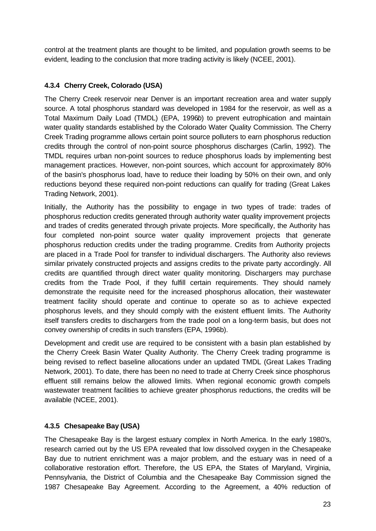control at the treatment plants are thought to be limited, and population growth seems to be evident, leading to the conclusion that more trading activity is likely (NCEE, 2001).

## **4.3.4 Cherry Creek, Colorado (USA)**

The Cherry Creek reservoir near Denver is an important recreation area and water supply source. A total phosphorus standard was developed in 1984 for the reservoir, as well as a Total Maximum Daily Load (TMDL) (EPA, 1996*b*) to prevent eutrophication and maintain water quality standards established by the Colorado Water Quality Commission. The Cherry Creek Trading programme allows certain point source polluters to earn phosphorus reduction credits through the control of non-point source phosphorus discharges (Carlin, 1992). The TMDL requires urban non-point sources to reduce phosphorus loads by implementing best management practices. However, non-point sources, which account for approximately 80% of the basin's phosphorus load, have to reduce their loading by 50% on their own, and only reductions beyond these required non-point reductions can qualify for trading (Great Lakes Trading Network, 2001).

Initially, the Authority has the possibility to engage in two types of trade: trades of phosphorus reduction credits generated through authority water quality improvement projects and trades of credits generated through private projects. More specifically, the Authority has four completed non-point source water quality improvement projects that generate phosphorus reduction credits under the trading programme. Credits from Authority projects are placed in a Trade Pool for transfer to individual dischargers. The Authority also reviews similar privately constructed projects and assigns credits to the private party accordingly. All credits are quantified through direct water quality monitoring. Dischargers may purchase credits from the Trade Pool, if they fulfill certain requirements. They should namely demonstrate the requisite need for the increased phosphorus allocation, their wastewater treatment facility should operate and continue to operate so as to achieve expected phosphorus levels, and they should comply with the existent effluent limits. The Authority itself transfers credits to dischargers from the trade pool on a long-term basis, but does not convey ownership of credits in such transfers (EPA, 1996b).

Development and credit use are required to be consistent with a basin plan established by the Cherry Creek Basin Water Quality Authority. The Cherry Creek trading programme is being revised to reflect baseline allocations under an updated TMDL (Great Lakes Trading Network, 2001). To date, there has been no need to trade at Cherry Creek since phosphorus effluent still remains below the allowed limits. When regional economic growth compels wastewater treatment facilities to achieve greater phosphorus reductions, the credits will be available (NCEE, 2001).

## **4.3.5 Chesapeake Bay (USA)**

The Chesapeake Bay is the largest estuary complex in North America. In the early 1980's, research carried out by the US EPA revealed that low dissolved oxygen in the Chesapeake Bay due to nutrient enrichment was a major problem, and the estuary was in need of a collaborative restoration effort. Therefore, the US EPA, the States of Maryland, Virginia, Pennsylvania, the District of Columbia and the Chesapeake Bay Commission signed the 1987 Chesapeake Bay Agreement. According to the Agreement, a 40% reduction of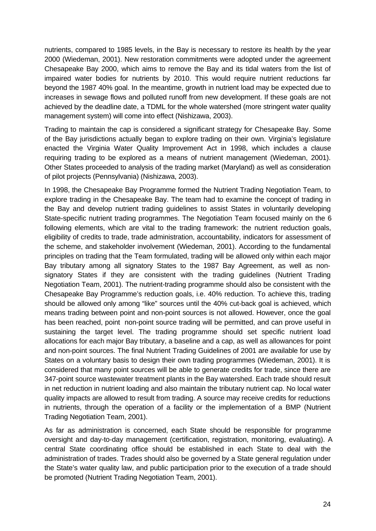nutrients, compared to 1985 levels, in the Bay is necessary to restore its health by the year 2000 (Wiedeman, 2001). New restoration commitments were adopted under the agreement Chesapeake Bay 2000, which aims to remove the Bay and its tidal waters from the list of impaired water bodies for nutrients by 2010. This would require nutrient reductions far beyond the 1987 40% goal. In the meantime, growth in nutrient load may be expected due to increases in sewage flows and polluted runoff from new development. If these goals are not achieved by the deadline date, a TDML for the whole watershed (more stringent water quality management system) will come into effect (Nishizawa, 2003).

Trading to maintain the cap is considered a significant strategy for Chesapeake Bay. Some of the Bay jurisdictions actually began to explore trading on their own. Virginia's legislature enacted the Virginia Water Quality Improvement Act in 1998, which includes a clause requiring trading to be explored as a means of nutrient management (Wiedeman, 2001). Other States proceeded to analysis of the trading market (Maryland) as well as consideration of pilot projects (Pennsylvania) (Nishizawa, 2003).

In 1998, the Chesapeake Bay Programme formed the Nutrient Trading Negotiation Team, to explore trading in the Chesapeake Bay. The team had to examine the concept of trading in the Bay and develop nutrient trading guidelines to assist States in voluntarily developing State-specific nutrient trading programmes. The Negotiation Team focused mainly on the 6 following elements, which are vital to the trading framework: the nutrient reduction goals, eligibility of credits to trade, trade administration, accountability, indicators for assessment of the scheme, and stakeholder involvement (Wiedeman, 2001). According to the fundamental principles on trading that the Team formulated, trading will be allowed only within each major Bay tributary among all signatory States to the 1987 Bay Agreement, as well as nonsignatory States if they are consistent with the trading guidelines (Nutrient Trading Negotiation Team, 2001). The nutrient-trading programme should also be consistent with the Chesapeake Bay Programme's reduction goals, i.e. 40% reduction. To achieve this, trading should be allowed only among "like" sources until the 40% cut-back goal is achieved, which means trading between point and non-point sources is not allowed. However, once the goal has been reached, point non-point source trading will be permitted, and can prove useful in sustaining the target level. The trading programme should set specific nutrient load allocations for each major Bay tributary, a baseline and a cap, as well as allowances for point and non-point sources. The final Nutrient Trading Guidelines of 2001 are available for use by States on a voluntary basis to design their own trading programmes (Wiedeman, 2001). It is considered that many point sources will be able to generate credits for trade, since there are 347-point source wastewater treatment plants in the Bay watershed. Each trade should result in net reduction in nutrient loading and also maintain the tributary nutrient cap. No local water quality impacts are allowed to result from trading. A source may receive credits for reductions in nutrients, through the operation of a facility or the implementation of a BMP (Nutrient Trading Negotiation Team, 2001).

As far as administration is concerned, each State should be responsible for programme oversight and day-to-day management (certification, registration, monitoring, evaluating). A central State coordinating office should be established in each State to deal with the administration of trades. Trades should also be governed by a State general regulation under the State's water quality law, and public participation prior to the execution of a trade should be promoted (Nutrient Trading Negotiation Team, 2001).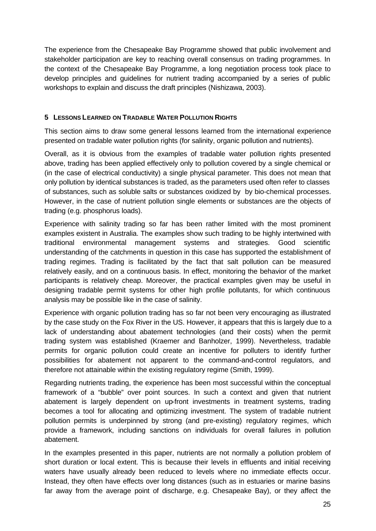The experience from the Chesapeake Bay Programme showed that public involvement and stakeholder participation are key to reaching overall consensus on trading programmes. In the context of the Chesapeake Bay Programme, a long negotiation process took place to develop principles and guidelines for nutrient trading accompanied by a series of public workshops to explain and discuss the draft principles (Nishizawa, 2003).

## **5 LESSONS LEARNED ON TRADABLE WATER POLLUTION RIGHTS**

This section aims to draw some general lessons learned from the international experience presented on tradable water pollution rights (for salinity, organic pollution and nutrients).

Overall, as it is obvious from the examples of tradable water pollution rights presented above, trading has been applied effectively only to pollution covered by a single chemical or (in the case of electrical conductivity) a single physical parameter. This does not mean that only pollution by identical substances is traded, as the parameters used often refer to classes of substances, such as soluble salts or substances oxidized by by bio-chemical processes. However, in the case of nutrient pollution single elements or substances are the objects of trading (e.g. phosphorus loads).

Experience with salinity trading so far has been rather limited with the most prominent examples existent in Australia. The examples show such trading to be highly intertwined with traditional environmental management systems and strategies. Good scientific understanding of the catchments in question in this case has supported the establishment of trading regimes. Trading is facilitated by the fact that salt pollution can be measured relatively easily, and on a continuous basis. In effect, monitoring the behavior of the market participants is relatively cheap. Moreover, the practical examples given may be useful in designing tradable permit systems for other high profile pollutants, for which continuous analysis may be possible like in the case of salinity.

Experience with organic pollution trading has so far not been very encouraging as illustrated by the case study on the Fox River in the US. However, it appears that this is largely due to a lack of understanding about abatement technologies (and their costs) when the permit trading system was established (Kraemer and Banholzer, 1999). Nevertheless, tradable permits for organic pollution could create an incentive for polluters to identify further possibilities for abatement not apparent to the command-and-control regulators, and therefore not attainable within the existing regulatory regime (Smith, 1999).

Regarding nutrients trading, the experience has been most successful within the conceptual framework of a "bubble" over point sources. In such a context and given that nutrient abatement is largely dependent on up-front investments in treatment systems, trading becomes a tool for allocating and optimizing investment. The system of tradable nutrient pollution permits is underpinned by strong (and pre-existing) regulatory regimes, which provide a framework, including sanctions on individuals for overall failures in pollution abatement.

In the examples presented in this paper, nutrients are not normally a pollution problem of short duration or local extent. This is because their levels in effluents and initial receiving waters have usually already been reduced to levels where no immediate effects occur. Instead, they often have effects over long distances (such as in estuaries or marine basins far away from the average point of discharge, e.g. Chesapeake Bay), or they affect the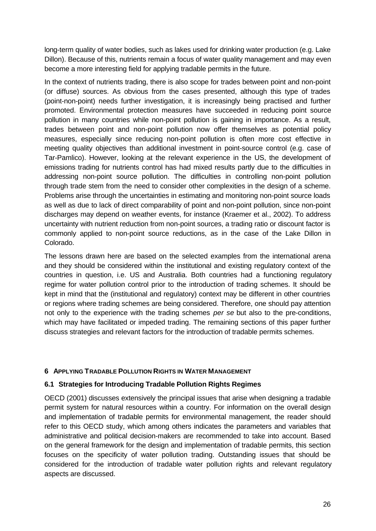long-term quality of water bodies, such as lakes used for drinking water production (e.g. Lake Dillon). Because of this, nutrients remain a focus of water quality management and may even become a more interesting field for applying tradable permits in the future.

In the context of nutrients trading, there is also scope for trades between point and non-point (or diffuse) sources. As obvious from the cases presented, although this type of trades (point-non-point) needs further investigation, it is increasingly being practised and further promoted. Environmental protection measures have succeeded in reducing point source pollution in many countries while non-point pollution is gaining in importance. As a result, trades between point and non-point pollution now offer themselves as potential policy measures, especially since reducing non-point pollution is often more cost effective in meeting quality objectives than additional investment in point-source control (e.g. case of Tar-Pamlico). However, looking at the relevant experience in the US, the development of emissions trading for nutrients control has had mixed results partly due to the difficulties in addressing non-point source pollution. The difficulties in controlling non-point pollution through trade stem from the need to consider other complexities in the design of a scheme. Problems arise through the uncertainties in estimating and monitoring non-point source loads as well as due to lack of direct comparability of point and non-point pollution, since non-point discharges may depend on weather events, for instance (Kraemer et al., 2002). To address uncertainty with nutrient reduction from non-point sources, a trading ratio or discount factor is commonly applied to non-point source reductions, as in the case of the Lake Dillon in Colorado.

The lessons drawn here are based on the selected examples from the international arena and they should be considered within the institutional and existing regulatory context of the countries in question, i.e. US and Australia. Both countries had a functioning regulatory regime for water pollution control prior to the introduction of trading schemes. It should be kept in mind that the (institutional and regulatory) context may be different in other countries or regions where trading schemes are being considered. Therefore, one should pay attention not only to the experience with the trading schemes *per se* but also to the pre-conditions, which may have facilitated or impeded trading. The remaining sections of this paper further discuss strategies and relevant factors for the introduction of tradable permits schemes.

## **6 APPLYING TRADABLE POLLUTION RIGHTS IN WATER MANAGEMENT**

#### **6.1 Strategies for Introducing Tradable Pollution Rights Regimes**

OECD (2001) discusses extensively the principal issues that arise when designing a tradable permit system for natural resources within a country. For information on the overall design and implementation of tradable permits for environmental management, the reader should refer to this OECD study, which among others indicates the parameters and variables that administrative and political decision-makers are recommended to take into account. Based on the general framework for the design and implementation of tradable permits, this section focuses on the specificity of water pollution trading. Outstanding issues that should be considered for the introduction of tradable water pollution rights and relevant regulatory aspects are discussed.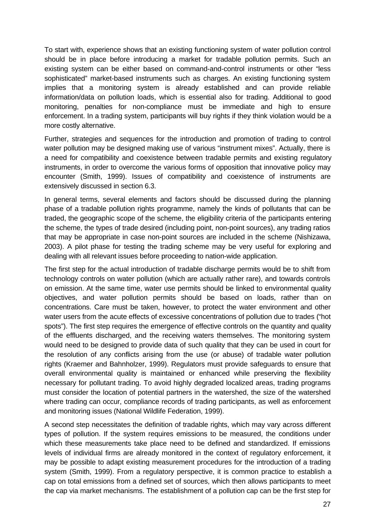To start with, experience shows that an existing functioning system of water pollution control should be in place before introducing a market for tradable pollution permits. Such an existing system can be either based on command-and-control instruments or other "less sophisticated" market-based instruments such as charges. An existing functioning system implies that a monitoring system is already established and can provide reliable information/data on pollution loads, which is essential also for trading. Additional to good monitoring, penalties for non-compliance must be immediate and high to ensure enforcement. In a trading system, participants will buy rights if they think violation would be a more costly alternative.

Further, strategies and sequences for the introduction and promotion of trading to control water pollution may be designed making use of various "instrument mixes". Actually, there is a need for compatibility and coexistence between tradable permits and existing regulatory instruments, in order to overcome the various forms of opposition that innovative policy may encounter (Smith, 1999). Issues of compatibility and coexistence of instruments are extensively discussed in section 6.3.

In general terms, several elements and factors should be discussed during the planning phase of a tradable pollution rights programme, namely the kinds of pollutants that can be traded, the geographic scope of the scheme, the eligibility criteria of the participants entering the scheme, the types of trade desired (including point, non-point sources), any trading ratios that may be appropriate in case non-point sources are included in the scheme (Nishizawa, 2003). A pilot phase for testing the trading scheme may be very useful for exploring and dealing with all relevant issues before proceeding to nation-wide application.

The first step for the actual introduction of tradable discharge permits would be to shift from technology controls on water pollution (which are actually rather rare), and towards controls on emission. At the same time, water use permits should be linked to environmental quality objectives, and water pollution permits should be based on loads, rather than on concentrations. Care must be taken, however, to protect the water environment and other water users from the acute effects of excessive concentrations of pollution due to trades ("hot spots"). The first step requires the emergence of effective controls on the quantity and quality of the effluents discharged, and the receiving waters themselves. The monitoring system would need to be designed to provide data of such quality that they can be used in court for the resolution of any conflicts arising from the use (or abuse) of tradable water pollution rights (Kraemer and Bahnholzer, 1999). Regulators must provide safeguards to ensure that overall environmental quality is maintained or enhanced while preserving the flexibility necessary for pollutant trading. To avoid highly degraded localized areas, trading programs must consider the location of potential partners in the watershed, the size of the watershed where trading can occur, compliance records of trading participants, as well as enforcement and monitoring issues (National Wildlife Federation, 1999).

A second step necessitates the definition of tradable rights, which may vary across different types of pollution. If the system requires emissions to be measured, the conditions under which these measurements take place need to be defined and standardized. If emissions levels of individual firms are already monitored in the context of regulatory enforcement, it may be possible to adapt existing measurement procedures for the introduction of a trading system (Smith, 1999). From a regulatory perspective, it is common practice to establish a cap on total emissions from a defined set of sources, which then allows participants to meet the cap via market mechanisms. The establishment of a pollution cap can be the first step for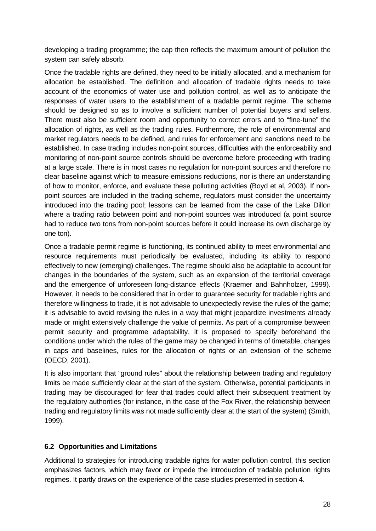developing a trading programme; the cap then reflects the maximum amount of pollution the system can safely absorb.

Once the tradable rights are defined, they need to be initially allocated, and a mechanism for allocation be established. The definition and allocation of tradable rights needs to take account of the economics of water use and pollution control, as well as to anticipate the responses of water users to the establishment of a tradable permit regime. The scheme should be designed so as to involve a sufficient number of potential buyers and sellers. There must also be sufficient room and opportunity to correct errors and to "fine-tune" the allocation of rights, as well as the trading rules. Furthermore, the role of environmental and market regulators needs to be defined, and rules for enforcement and sanctions need to be established. In case trading includes non-point sources, difficulties with the enforceability and monitoring of non-point source controls should be overcome before proceeding with trading at a large scale. There is in most cases no regulation for non-point sources and therefore no clear baseline against which to measure emissions reductions, nor is there an understanding of how to monitor, enforce, and evaluate these polluting activities (Boyd et al, 2003). If nonpoint sources are included in the trading scheme, regulators must consider the uncertainty introduced into the trading pool; lessons can be learned from the case of the Lake Dillon where a trading ratio between point and non-point sources was introduced (a point source had to reduce two tons from non-point sources before it could increase its own discharge by one ton).

Once a tradable permit regime is functioning, its continued ability to meet environmental and resource requirements must periodically be evaluated, including its ability to respond effectively to new (emerging) challenges. The regime should also be adaptable to account for changes in the boundaries of the system, such as an expansion of the territorial coverage and the emergence of unforeseen long-distance effects (Kraemer and Bahnholzer, 1999). However, it needs to be considered that in order to guarantee security for tradable rights and therefore willingness to trade, it is not advisable to unexpectedly revise the rules of the game; it is advisable to avoid revising the rules in a way that might jeopardize investments already made or might extensively challenge the value of permits. As part of a compromise between permit security and programme adaptability, it is proposed to specify beforehand the conditions under which the rules of the game may be changed in terms of timetable, changes in caps and baselines, rules for the allocation of rights or an extension of the scheme (OECD, 2001).

It is also important that "ground rules" about the relationship between trading and regulatory limits be made sufficiently clear at the start of the system. Otherwise, potential participants in trading may be discouraged for fear that trades could affect their subsequent treatment by the regulatory authorities (for instance, in the case of the Fox River, the relationship between trading and regulatory limits was not made sufficiently clear at the start of the system) (Smith, 1999).

## **6.2 Opportunities and Limitations**

Additional to strategies for introducing tradable rights for water pollution control, this section emphasizes factors, which may favor or impede the introduction of tradable pollution rights regimes. It partly draws on the experience of the case studies presented in section 4.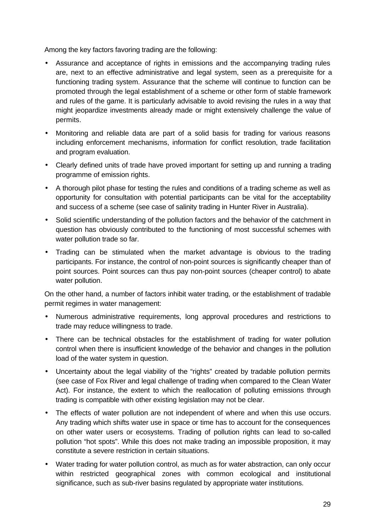Among the key factors favoring trading are the following:

- Assurance and acceptance of rights in emissions and the accompanying trading rules are, next to an effective administrative and legal system, seen as a prerequisite for a functioning trading system. Assurance that the scheme will continue to function can be promoted through the legal establishment of a scheme or other form of stable framework and rules of the game. It is particularly advisable to avoid revising the rules in a way that might jeopardize investments already made or might extensively challenge the value of permits.
- Monitoring and reliable data are part of a solid basis for trading for various reasons including enforcement mechanisms, information for conflict resolution, trade facilitation and program evaluation.
- Clearly defined units of trade have proved important for setting up and running a trading programme of emission rights.
- A thorough pilot phase for testing the rules and conditions of a trading scheme as well as opportunity for consultation with potential participants can be vital for the acceptability and success of a scheme (see case of salinity trading in Hunter River in Australia).
- Solid scientific understanding of the pollution factors and the behavior of the catchment in question has obviously contributed to the functioning of most successful schemes with water pollution trade so far.
- Trading can be stimulated when the market advantage is obvious to the trading participants. For instance, the control of non-point sources is significantly cheaper than of point sources. Point sources can thus pay non-point sources (cheaper control) to abate water pollution.

On the other hand, a number of factors inhibit water trading, or the establishment of tradable permit regimes in water management:

- Numerous administrative requirements, long approval procedures and restrictions to trade may reduce willingness to trade.
- There can be technical obstacles for the establishment of trading for water pollution control when there is insufficient knowledge of the behavior and changes in the pollution load of the water system in question.
- Uncertainty about the legal viability of the "rights" created by tradable pollution permits (see case of Fox River and legal challenge of trading when compared to the Clean Water Act). For instance, the extent to which the reallocation of polluting emissions through trading is compatible with other existing legislation may not be clear.
- The effects of water pollution are not independent of where and when this use occurs. Any trading which shifts water use in space or time has to account for the consequences on other water users or ecosystems. Trading of pollution rights can lead to so-called pollution "hot spots". While this does not make trading an impossible proposition, it may constitute a severe restriction in certain situations.
- Water trading for water pollution control, as much as for water abstraction, can only occur within restricted geographical zones with common ecological and institutional significance, such as sub-river basins regulated by appropriate water institutions.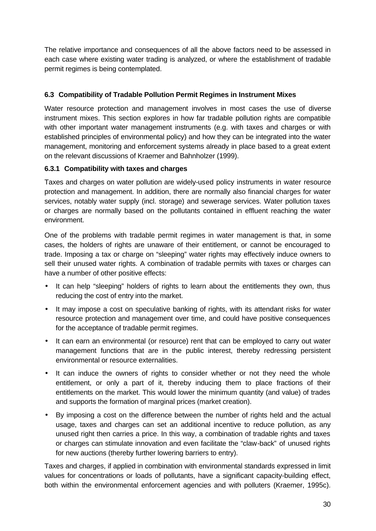The relative importance and consequences of all the above factors need to be assessed in each case where existing water trading is analyzed, or where the establishment of tradable permit regimes is being contemplated.

## **6.3 Compatibility of Tradable Pollution Permit Regimes in Instrument Mixes**

Water resource protection and management involves in most cases the use of diverse instrument mixes. This section explores in how far tradable pollution rights are compatible with other important water management instruments (e.g. with taxes and charges or with established principles of environmental policy) and how they can be integrated into the water management, monitoring and enforcement systems already in place based to a great extent on the relevant discussions of Kraemer and Bahnholzer (1999).

## **6.3.1 Compatibility with taxes and charges**

Taxes and charges on water pollution are widely-used policy instruments in water resource protection and management. In addition, there are normally also financial charges for water services, notably water supply (incl. storage) and sewerage services. Water pollution taxes or charges are normally based on the pollutants contained in effluent reaching the water environment.

One of the problems with tradable permit regimes in water management is that, in some cases, the holders of rights are unaware of their entitlement, or cannot be encouraged to trade. Imposing a tax or charge on "sleeping" water rights may effectively induce owners to sell their unused water rights. A combination of tradable permits with taxes or charges can have a number of other positive effects:

- It can help "sleeping" holders of rights to learn about the entitlements they own, thus reducing the cost of entry into the market.
- It may impose a cost on speculative banking of rights, with its attendant risks for water resource protection and management over time, and could have positive consequences for the acceptance of tradable permit regimes.
- It can earn an environmental (or resource) rent that can be employed to carry out water management functions that are in the public interest, thereby redressing persistent environmental or resource externalities.
- It can induce the owners of rights to consider whether or not they need the whole entitlement, or only a part of it, thereby inducing them to place fractions of their entitlements on the market. This would lower the minimum quantity (and value) of trades and supports the formation of marginal prices (market creation).
- By imposing a cost on the difference between the number of rights held and the actual usage, taxes and charges can set an additional incentive to reduce pollution, as any unused right then carries a price. In this way, a combination of tradable rights and taxes or charges can stimulate innovation and even facilitate the "claw-back" of unused rights for new auctions (thereby further lowering barriers to entry).

Taxes and charges, if applied in combination with environmental standards expressed in limit values for concentrations or loads of pollutants, have a significant capacity-building effect, both within the environmental enforcement agencies and with polluters (Kraemer, 1995c).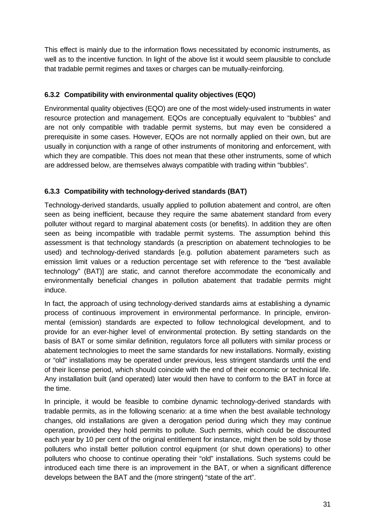This effect is mainly due to the information flows necessitated by economic instruments, as well as to the incentive function. In light of the above list it would seem plausible to conclude that tradable permit regimes and taxes or charges can be mutually-reinforcing.

## **6.3.2 Compatibility with environmental quality objectives (EQO)**

Environmental quality objectives (EQO) are one of the most widely-used instruments in water resource protection and management. EQOs are conceptually equivalent to "bubbles" and are not only compatible with tradable permit systems, but may even be considered a prerequisite in some cases. However, EQOs are not normally applied on their own, but are usually in conjunction with a range of other instruments of monitoring and enforcement, with which they are compatible. This does not mean that these other instruments, some of which are addressed below, are themselves always compatible with trading within "bubbles".

## **6.3.3 Compatibility with technology-derived standards (BAT)**

Technology-derived standards, usually applied to pollution abatement and control, are often seen as being inefficient, because they require the same abatement standard from every polluter without regard to marginal abatement costs (or benefits). In addition they are often seen as being incompatible with tradable permit systems. The assumption behind this assessment is that technology standards (a prescription on abatement technologies to be used) and technology-derived standards [e.g. pollution abatement parameters such as emission limit values or a reduction percentage set with reference to the "best available technology" (BAT)] are static, and cannot therefore accommodate the economically and environmentally beneficial changes in pollution abatement that tradable permits might induce.

In fact, the approach of using technology-derived standards aims at establishing a dynamic process of continuous improvement in environmental performance. In principle, environmental (emission) standards are expected to follow technological development, and to provide for an ever-higher level of environmental protection. By setting standards on the basis of BAT or some similar definition, regulators force all polluters with similar process or abatement technologies to meet the same standards for new installations. Normally, existing or "old" installations may be operated under previous, less stringent standards until the end of their license period, which should coincide with the end of their economic or technical life. Any installation built (and operated) later would then have to conform to the BAT in force at the time.

In principle, it would be feasible to combine dynamic technology-derived standards with tradable permits, as in the following scenario: at a time when the best available technology changes, old installations are given a derogation period during which they may continue operation, provided they hold permits to pollute. Such permits, which could be discounted each year by 10 per cent of the original entitlement for instance, might then be sold by those polluters who install better pollution control equipment (or shut down operations) to other polluters who choose to continue operating their "old" installations. Such systems could be introduced each time there is an improvement in the BAT, or when a significant difference develops between the BAT and the (more stringent) "state of the art".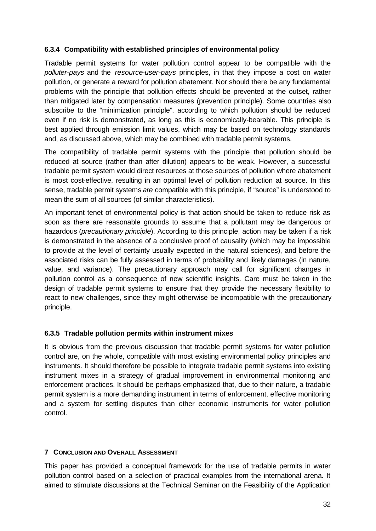#### **6.3.4 Compatibility with established principles of environmental policy**

Tradable permit systems for water pollution control appear to be compatible with the *polluter-pays* and the *resource-user-pays* principles, in that they impose a cost on water pollution, or generate a reward for pollution abatement. Nor should there be any fundamental problems with the principle that pollution effects should be prevented at the outset, rather than mitigated later by compensation measures (prevention principle). Some countries also subscribe to the "minimization principle", according to which pollution should be reduced even if no risk is demonstrated, as long as this is economically-bearable. This principle is best applied through emission limit values, which may be based on technology standards and, as discussed above, which may be combined with tradable permit systems.

The compatibility of tradable permit systems with the principle that pollution should be reduced at source (rather than after dilution) appears to be weak. However, a successful tradable permit system would direct resources at those sources of pollution where abatement is most cost-effective, resulting in an optimal level of pollution reduction at source. In this sense, tradable permit systems *are* compatible with this principle, if "source" is understood to mean the sum of all sources (of similar characteristics).

An important tenet of environmental policy is that action should be taken to reduce risk as soon as there are reasonable grounds to assume that a pollutant may be dangerous or hazardous (*precautionary principle*). According to this principle, action may be taken if a risk is demonstrated in the absence of a conclusive proof of causality (which may be impossible to provide at the level of certainty usually expected in the natural sciences), and before the associated risks can be fully assessed in terms of probability and likely damages (in nature, value, and variance). The precautionary approach may call for significant changes in pollution control as a consequence of new scientific insights. Care must be taken in the design of tradable permit systems to ensure that they provide the necessary flexibility to react to new challenges, since they might otherwise be incompatible with the precautionary principle.

## **6.3.5 Tradable pollution permits within instrument mixes**

It is obvious from the previous discussion that tradable permit systems for water pollution control are, on the whole, compatible with most existing environmental policy principles and instruments. It should therefore be possible to integrate tradable permit systems into existing instrument mixes in a strategy of gradual improvement in environmental monitoring and enforcement practices. It should be perhaps emphasized that, due to their nature, a tradable permit system is a more demanding instrument in terms of enforcement, effective monitoring and a system for settling disputes than other economic instruments for water pollution control.

## **7 CONCLUSION AND OVERALL ASSESSMENT**

This paper has provided a conceptual framework for the use of tradable permits in water pollution control based on a selection of practical examples from the international arena. It aimed to stimulate discussions at the Technical Seminar on the Feasibility of the Application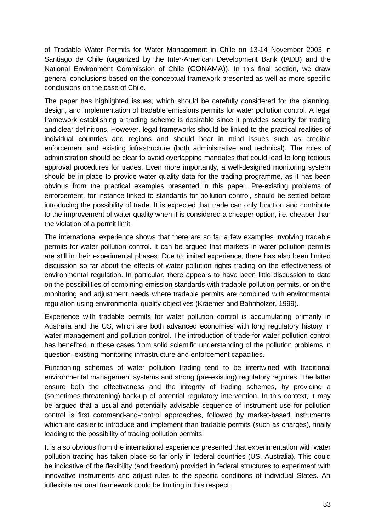of Tradable Water Permits for Water Management in Chile on 13-14 November 2003 in Santiago de Chile (organized by the Inter-American Development Bank (IADB) and the National Environment Commission of Chile (CONAMA)). In this final section, we draw general conclusions based on the conceptual framework presented as well as more specific conclusions on the case of Chile.

The paper has highlighted issues, which should be carefully considered for the planning, design, and implementation of tradable emissions permits for water pollution control. A legal framework establishing a trading scheme is desirable since it provides security for trading and clear definitions. However, legal frameworks should be linked to the practical realities of individual countries and regions and should bear in mind issues such as credible enforcement and existing infrastructure (both administrative and technical). The roles of administration should be clear to avoid overlapping mandates that could lead to long tedious approval procedures for trades. Even more importantly, a well-designed monitoring system should be in place to provide water quality data for the trading programme, as it has been obvious from the practical examples presented in this paper. Pre-existing problems of enforcement, for instance linked to standards for pollution control, should be settled before introducing the possibility of trade. It is expected that trade can only function and contribute to the improvement of water quality when it is considered a cheaper option, i.e. cheaper than the violation of a permit limit.

The international experience shows that there are so far a few examples involving tradable permits for water pollution control. It can be argued that markets in water pollution permits are still in their experimental phases. Due to limited experience, there has also been limited discussion so far about the effects of water pollution rights trading on the effectiveness of environmental regulation. In particular, there appears to have been little discussion to date on the possibilities of combining emission standards with tradable pollution permits, or on the monitoring and adjustment needs where tradable permits are combined with environmental regulation using environmental quality objectives (Kraemer and Bahnholzer, 1999).

Experience with tradable permits for water pollution control is accumulating primarily in Australia and the US, which are both advanced economies with long regulatory history in water management and pollution control. The introduction of trade for water pollution control has benefited in these cases from solid scientific understanding of the pollution problems in question, existing monitoring infrastructure and enforcement capacities.

Functioning schemes of water pollution trading tend to be intertwined with traditional environmental management systems and strong (pre-existing) regulatory regimes. The latter ensure both the effectiveness and the integrity of trading schemes, by providing a (sometimes threatening) back-up of potential regulatory intervention. In this context, it may be argued that a usual and potentially advisable sequence of instrument use for pollution control is first command-and-control approaches, followed by market-based instruments which are easier to introduce and implement than tradable permits (such as charges), finally leading to the possibility of trading pollution permits.

It is also obvious from the international experience presented that experimentation with water pollution trading has taken place so far only in federal countries (US, Australia). This could be indicative of the flexibility (and freedom) provided in federal structures to experiment with innovative instruments and adjust rules to the specific conditions of individual States. An inflexible national framework could be limiting in this respect.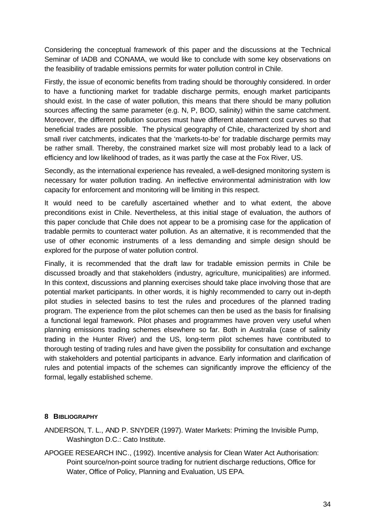Considering the conceptual framework of this paper and the discussions at the Technical Seminar of IADB and CONAMA, we would like to conclude with some key observations on the feasibility of tradable emissions permits for water pollution control in Chile.

Firstly, the issue of economic benefits from trading should be thoroughly considered. In order to have a functioning market for tradable discharge permits, enough market participants should exist. In the case of water pollution, this means that there should be many pollution sources affecting the same parameter (e.g. N, P, BOD, salinity) within the same catchment. Moreover, the different pollution sources must have different abatement cost curves so that beneficial trades are possible. The physical geography of Chile, characterized by short and small river catchments, indicates that the 'markets-to-be' for tradable discharge permits may be rather small. Thereby, the constrained market size will most probably lead to a lack of efficiency and low likelihood of trades, as it was partly the case at the Fox River, US.

Secondly, as the international experience has revealed, a well-designed monitoring system is necessary for water pollution trading. An ineffective environmental administration with low capacity for enforcement and monitoring will be limiting in this respect.

It would need to be carefully ascertained whether and to what extent, the above preconditions exist in Chile. Nevertheless, at this initial stage of evaluation, the authors of this paper conclude that Chile does not appear to be a promising case for the application of tradable permits to counteract water pollution. As an alternative, it is recommended that the use of other economic instruments of a less demanding and simple design should be explored for the purpose of water pollution control.

Finally, it is recommended that the draft law for tradable emission permits in Chile be discussed broadly and that stakeholders (industry, agriculture, municipalities) are informed. In this context, discussions and planning exercises should take place involving those that are potential market participants. In other words, it is highly recommended to carry out in-depth pilot studies in selected basins to test the rules and procedures of the planned trading program. The experience from the pilot schemes can then be used as the basis for finalising a functional legal framework. Pilot phases and programmes have proven very useful when planning emissions trading schemes elsewhere so far. Both in Australia (case of salinity trading in the Hunter River) and the US, long-term pilot schemes have contributed to thorough testing of trading rules and have given the possibility for consultation and exchange with stakeholders and potential participants in advance. Early information and clarification of rules and potential impacts of the schemes can significantly improve the efficiency of the formal, legally established scheme.

## **8 BIBLIOGRAPHY**

ANDERSON, T. L., AND P. SNYDER (1997). Water Markets: Priming the Invisible Pump, Washington D.C.: Cato Institute.

APOGEE RESEARCH INC., (1992). Incentive analysis for Clean Water Act Authorisation: Point source/non-point source trading for nutrient discharge reductions, Office for Water, Office of Policy, Planning and Evaluation, US EPA.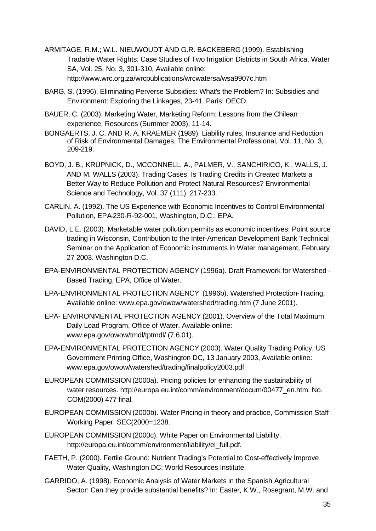- ARMITAGE, R.M.; W.L. NIEUWOUDT AND G.R. BACKEBERG (1999). Establishing Tradable Water Rights: Case Studies of Two Irrigation Districts in South Africa, Water SA, Vol. 25, No. 3, 301-310, Available online: http://www.wrc.org.za/wrcpublications/wrcwatersa/wsa9907c.htm
- BARG, S. (1996). Eliminating Perverse Subsidies: What's the Problem? In: Subsidies and Environment: Exploring the Linkages, 23-41. Paris: OECD.
- BAUER, C. (2003). Marketing Water, Marketing Reform: Lessons from the Chilean experience, Resources (Summer 2003), 11-14.
- BONGAERTS, J. C. AND R. A. KRAEMER (1989). Liability rules, Insurance and Reduction of Risk of Environmental Damages, The Environmental Professional, Vol. 11, No. 3, 209-219.
- BOYD, J. B., KRUPNICK, D., MCCONNELL, A., PALMER, V., SANCHIRICO, K., WALLS, J. AND M. WALLS (2003). Trading Cases: Is Trading Credits in Created Markets a Better Way to Reduce Pollution and Protect Natural Resources? Environmental Science and Technology, Vol. 37 (111), 217-233.
- CARLIN, A. (1992). The US Experience with Economic Incentives to Control Environmental Pollution, EPA-230-R-92-001, Washington, D.C.: EPA.
- DAVID, L.E. (2003). Marketable water pollution permits as economic incentives: Point source trading in Wisconsin, Contribution to the Inter-American Development Bank Technical Seminar on the Application of Economic instruments in Water management, February 27 2003. Washington D.C.
- EPA-ENVIRONMENTAL PROTECTION AGENCY (1996a). Draft Framework for Watershed Based Trading, EPA, Office of Water.
- EPA-ENVIRONMENTAL PROTECTION AGENCY (1996b). Watershed Protection-Trading, Available online: www.epa.gov/owow/watershed/trading.htm (7 June 2001).
- EPA- ENVIRONMENTAL PROTECTION AGENCY (2001). Overview of the Total Maximum Daily Load Program, Office of Water, Available online: www.epa.gov/owow/tmdl/tptmdl/ (7.6.01).
- EPA-ENVIRONMENTAL PROTECTION AGENCY (2003). Water Quality Trading Policy, US Government Printing Office, Washington DC, 13 January 2003, Available online: www.epa.gov/owow/watershed/trading/finalpolicy2003.pdf
- EUROPEAN COMMISSION (2000a). Pricing policies for enhancing the sustainability of water resources. http://europa.eu.int/comm/environment/docum/00477\_en.htm. No. COM(2000) 477 final.
- EUROPEAN COMMISSION (2000b). Water Pricing in theory and practice, Commission Staff Working Paper. SEC(2000=1238.
- EUROPEAN COMMISSION (2000c). White Paper on Environmental Liability, http://europa.eu.int/comm/environment/liability/el\_full.pdf.
- FAETH, P. (2000). Fertile Ground: Nutrient Trading's Potential to Cost-effectively Improve Water Quality, Washington DC: World Resources Institute.
- GARRIDO, A. (1998). Economic Analysis of Water Markets in the Spanish Agricultural Sector: Can they provide substantial benefits? In: Easter, K.W., Rosegrant, M.W. and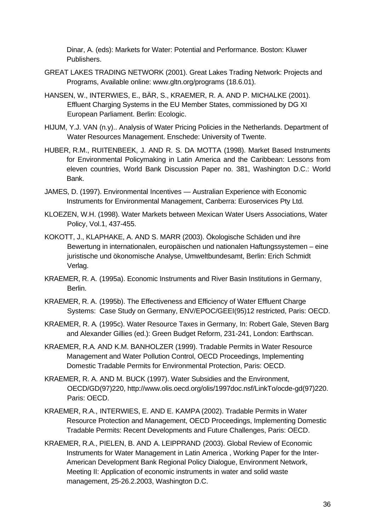Dinar, A. (eds): Markets for Water: Potential and Performance. Boston: Kluwer Publishers.

- GREAT LAKES TRADING NETWORK (2001). Great Lakes Trading Network: Projects and Programs, Available online: www.gltn.org/programs (18.6.01).
- HANSEN, W., INTERWIES, E., BÄR, S., KRAEMER, R. A. AND P. MICHALKE (2001). Effluent Charging Systems in the EU Member States, commissioned by DG XI European Parliament. Berlin: Ecologic.
- HIJUM, Y.J. VAN (n.y).. Analysis of Water Pricing Policies in the Netherlands. Department of Water Resources Management. Enschede: University of Twente.
- HUBER, R.M., RUITENBEEK, J. AND R. S. DA MOTTA (1998). Market Based Instruments for Environmental Policymaking in Latin America and the Caribbean: Lessons from eleven countries, World Bank Discussion Paper no. 381, Washington D.C.: World Bank.
- JAMES, D. (1997). Environmental Incentives Australian Experience with Economic Instruments for Environmental Management, Canberra: Euroservices Pty Ltd.
- KLOEZEN, W.H. (1998). Water Markets between Mexican Water Users Associations, Water Policy, Vol.1, 437-455.
- KOKOTT, J., KLAPHAKE, A. AND S. MARR (2003). Ökologische Schäden und ihre Bewertung in internationalen, europäischen und nationalen Haftungssystemen – eine juristische und ökonomische Analyse, Umweltbundesamt, Berlin: Erich Schmidt Verlag.
- KRAEMER, R. A. (1995a). Economic Instruments and River Basin Institutions in Germany, Berlin.
- KRAEMER, R. A. (1995b). The Effectiveness and Efficiency of Water Effluent Charge Systems: Case Study on Germany, ENV/EPOC/GEEI(95)12 restricted, Paris: OECD.
- KRAEMER, R. A. (1995c). Water Resource Taxes in Germany, In: Robert Gale, Steven Barg and Alexander Gillies (ed.): Green Budget Reform, 231-241, London: Earthscan.
- KRAEMER, R.A. AND K.M. BANHOLZER (1999). Tradable Permits in Water Resource Management and Water Pollution Control, OECD Proceedings, Implementing Domestic Tradable Permits for Environmental Protection, Paris: OECD.
- KRAEMER, R. A. AND M. BUCK (1997). Water Subsidies and the Environment, OECD/GD(97)220, http://www.olis.oecd.org/olis/1997doc.nsf/LinkTo/ocde-gd(97)220. Paris: OECD.
- KRAEMER, R.A., INTERWIES, E. AND E. KAMPA (2002). Tradable Permits in Water Resource Protection and Management, OECD Proceedings, Implementing Domestic Tradable Permits: Recent Developments and Future Challenges, Paris: OECD.
- KRAEMER, R.A., PIELEN, B. AND A. LEIPPRAND (2003). Global Review of Economic Instruments for Water Management in Latin America , Working Paper for the Inter-American Development Bank Regional Policy Dialogue, Environment Network, Meeting II: Application of economic instruments in water and solid waste management, 25-26.2.2003, Washington D.C.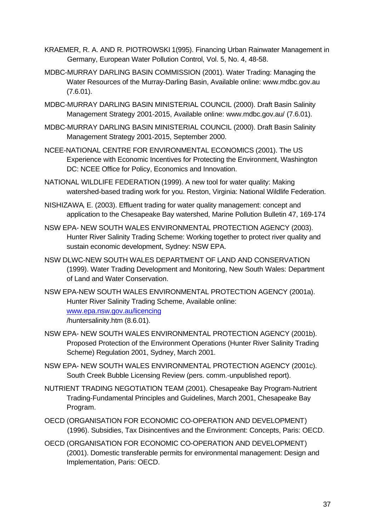- KRAEMER, R. A. AND R. PIOTROWSKI 1(995). Financing Urban Rainwater Management in Germany, European Water Pollution Control, Vol. 5, No. 4, 48-58.
- MDBC-MURRAY DARLING BASIN COMMISSION (2001). Water Trading: Managing the Water Resources of the Murray-Darling Basin, Available online: www.mdbc.gov.au (7.6.01).
- MDBC-MURRAY DARLING BASIN MINISTERIAL COUNCIL (2000). Draft Basin Salinity Management Strategy 2001-2015, Available online: www.mdbc.gov.au/ (7.6.01).
- MDBC-MURRAY DARLING BASIN MINISTERIAL COUNCIL (2000). Draft Basin Salinity Management Strategy 2001-2015, September 2000.
- NCEE-NATIONAL CENTRE FOR ENVIRONMENTAL ECONOMICS (2001). The US Experience with Economic Incentives for Protecting the Environment, Washington DC: NCEE Office for Policy, Economics and Innovation.
- NATIONAL WILDLIFE FEDERATION (1999). A new tool for water quality: Making watershed-based trading work for you. Reston, Virginia: National Wildlife Federation.
- NISHIZAWA, E. (2003). Effluent trading for water quality management: concept and application to the Chesapeake Bay watershed, Marine Pollution Bulletin 47, 169-174
- NSW EPA- NEW SOUTH WALES ENVIRONMENTAL PROTECTION AGENCY (2003). Hunter River Salinity Trading Scheme: Working together to protect river quality and sustain economic development, Sydney: NSW EPA.
- NSW DLWC-NEW SOUTH WALES DEPARTMENT OF LAND AND CONSERVATION (1999). Water Trading Development and Monitoring, New South Wales: Department of Land and Water Conservation.
- NSW EPA-NEW SOUTH WALES ENVIRONMENTAL PROTECTION AGENCY (2001a). Hunter River Salinity Trading Scheme, Available online: www.epa.nsw.gov.au/licencing /huntersalinity.htm (8.6.01).
- NSW EPA- NEW SOUTH WALES ENVIRONMENTAL PROTECTION AGENCY (2001b). Proposed Protection of the Environment Operations (Hunter River Salinity Trading Scheme) Regulation 2001, Sydney, March 2001.
- NSW EPA- NEW SOUTH WALES ENVIRONMENTAL PROTECTION AGENCY (2001c). South Creek Bubble Licensing Review (pers. comm.-unpublished report).
- NUTRIENT TRADING NEGOTIATION TEAM (2001). Chesapeake Bay Program-Nutrient Trading-Fundamental Principles and Guidelines, March 2001, Chesapeake Bay Program.
- OECD (ORGANISATION FOR ECONOMIC CO-OPERATION AND DEVELOPMENT) (1996). Subsidies, Tax Disincentives and the Environment: Concepts, Paris: OECD.
- OECD (ORGANISATION FOR ECONOMIC CO-OPERATION AND DEVELOPMENT) (2001). Domestic transferable permits for environmental management: Design and Implementation, Paris: OECD.